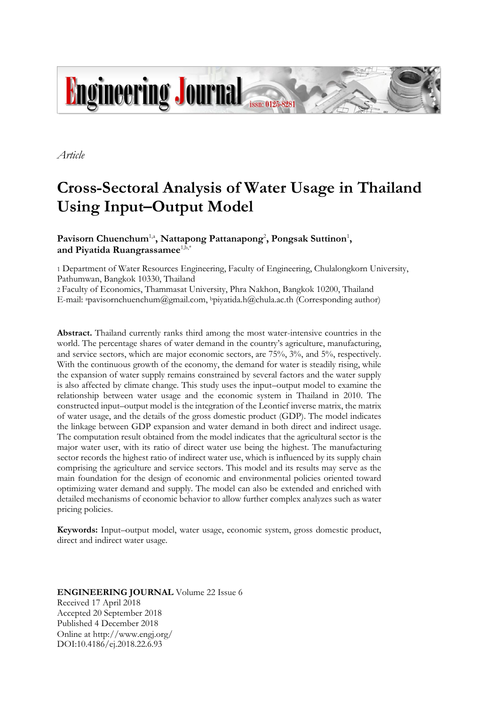

*Article*

# **Cross-Sectoral Analysis of Water Usage in Thailand Using Input–Output Model**

# Pavisorn Chuenchum<sup>1,a</sup>, Nattapong Pattanapong<sup>2</sup>, Pongsak Suttinon<sup>1</sup>, and Piyatida Ruangrassamee<sup>1,b,\*</sup>

1 Department of Water Resources Engineering, Faculty of Engineering, Chulalongkorn University, Pathumwan, Bangkok 10330, Thailand

2 Faculty of Economics, Thammasat University, Phra Nakhon, Bangkok 10200, Thailand E-mail: <sup>a</sup>pavisornchuenchum@gmail.com, <sup>b</sup>piyatida.h@chula.ac.th (Corresponding author)

**Abstract.** Thailand currently ranks third among the most water-intensive countries in the world. The percentage shares of water demand in the country's agriculture, manufacturing, and service sectors, which are major economic sectors, are 75%, 3%, and 5%, respectively. With the continuous growth of the economy, the demand for water is steadily rising, while the expansion of water supply remains constrained by several factors and the water supply is also affected by climate change. This study uses the input–output model to examine the relationship between water usage and the economic system in Thailand in 2010. The constructed input–output model is the integration of the Leontief inverse matrix, the matrix of water usage, and the details of the gross domestic product (GDP). The model indicates the linkage between GDP expansion and water demand in both direct and indirect usage. The computation result obtained from the model indicates that the agricultural sector is the major water user, with its ratio of direct water use being the highest. The manufacturing sector records the highest ratio of indirect water use, which is influenced by its supply chain comprising the agriculture and service sectors. This model and its results may serve as the main foundation for the design of economic and environmental policies oriented toward optimizing water demand and supply. The model can also be extended and enriched with detailed mechanisms of economic behavior to allow further complex analyzes such as water pricing policies.

**Keywords:** Input–output model, water usage, economic system, gross domestic product, direct and indirect water usage.

## **ENGINEERING JOURNAL** Volume 22 Issue 6 Received 17 April 2018 Accepted 20 September 2018 Published 4 December 2018 Online at http://www.engj.org/ DOI:10.4186/ej.2018.22.6.93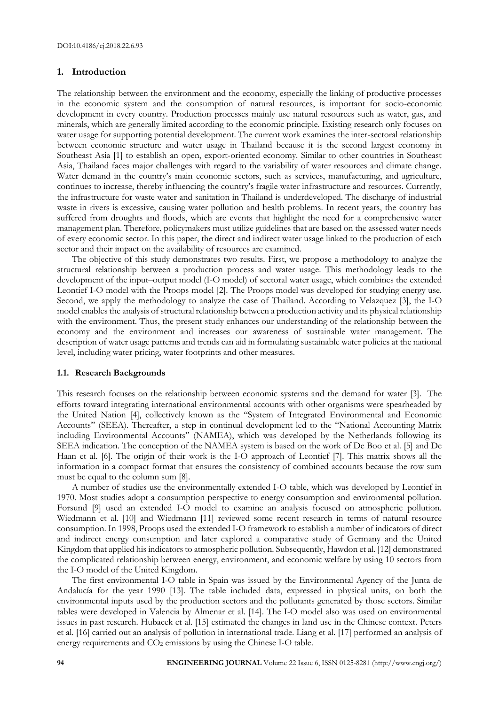## **1. Introduction**

The relationship between the environment and the economy, especially the linking of productive processes in the economic system and the consumption of natural resources, is important for socio-economic development in every country. Production processes mainly use natural resources such as water, gas, and minerals, which are generally limited according to the economic principle. Existing research only focuses on water usage for supporting potential development. The current work examines the inter-sectoral relationship between economic structure and water usage in Thailand because it is the second largest economy in Southeast Asia [1] to establish an open, export-oriented economy. Similar to other countries in Southeast Asia, Thailand faces major challenges with regard to the variability of water resources and climate change. Water demand in the country's main economic sectors, such as services, manufacturing, and agriculture, continues to increase, thereby influencing the country's fragile water infrastructure and resources. Currently, the infrastructure for waste water and sanitation in Thailand is underdeveloped. The discharge of industrial waste in rivers is excessive, causing water pollution and health problems. In recent years, the country has suffered from droughts and floods, which are events that highlight the need for a comprehensive water management plan. Therefore, policymakers must utilize guidelines that are based on the assessed water needs of every economic sector. In this paper, the direct and indirect water usage linked to the production of each sector and their impact on the availability of resources are examined.

The objective of this study demonstrates two results. First, we propose a methodology to analyze the structural relationship between a production process and water usage. This methodology leads to the development of the input–output model (I-O model) of sectoral water usage, which combines the extended Leontief I-O model with the Proops model [2]. The Proops model was developed for studying energy use. Second, we apply the methodology to analyze the case of Thailand. According to Velazquez [3], the I-O model enables the analysis of structural relationship between a production activity and its physical relationship with the environment. Thus, the present study enhances our understanding of the relationship between the economy and the environment and increases our awareness of sustainable water management. The description of water usage patterns and trends can aid in formulating sustainable water policies at the national level, including water pricing, water footprints and other measures.

## **1.1. Research Backgrounds**

This research focuses on the relationship between economic systems and the demand for water [3]. The efforts toward integrating international environmental accounts with other organisms were spearheaded by the United Nation [4], collectively known as the "System of Integrated Environmental and Economic Accounts" (SEEA). Thereafter, a step in continual development led to the "National Accounting Matrix including Environmental Accounts" (NAMEA), which was developed by the Netherlands following its SEEA indication. The conception of the NAMEA system is based on the work of De Boo et al. [5] and De Haan et al. [6]. The origin of their work is the I-O approach of Leontief [7]. This matrix shows all the information in a compact format that ensures the consistency of combined accounts because the row sum must be equal to the column sum [8].

A number of studies use the environmentally extended I-O table, which was developed by Leontief in 1970. Most studies adopt a consumption perspective to energy consumption and environmental pollution. Forsund [9] used an extended I-O model to examine an analysis focused on atmospheric pollution. Wiedmann et al. [10] and Wiedmann [11] reviewed some recent research in terms of natural resource consumption. In 1998, Proops used the extended I-O framework to establish a number of indicators of direct and indirect energy consumption and later explored a comparative study of Germany and the United Kingdom that applied his indicators to atmospheric pollution. Subsequently, Hawdon et al. [12] demonstrated the complicated relationship between energy, environment, and economic welfare by using 10 sectors from the I-O model of the United Kingdom.

The first environmental I-O table in Spain was issued by the Environmental Agency of the Junta de Andalucía for the year 1990 [13]. The table included data, expressed in physical units, on both the environmental inputs used by the production sectors and the pollutants generated by those sectors. Similar tables were developed in Valencia by Almenar et al. [14]. The I-O model also was used on environmental issues in past research. Hubacek et al. [15] estimated the changes in land use in the Chinese context. Peters et al. [16] carried out an analysis of pollution in international trade. Liang et al. [17] performed an analysis of energy requirements and CO<sub>2</sub> emissions by using the Chinese I-O table.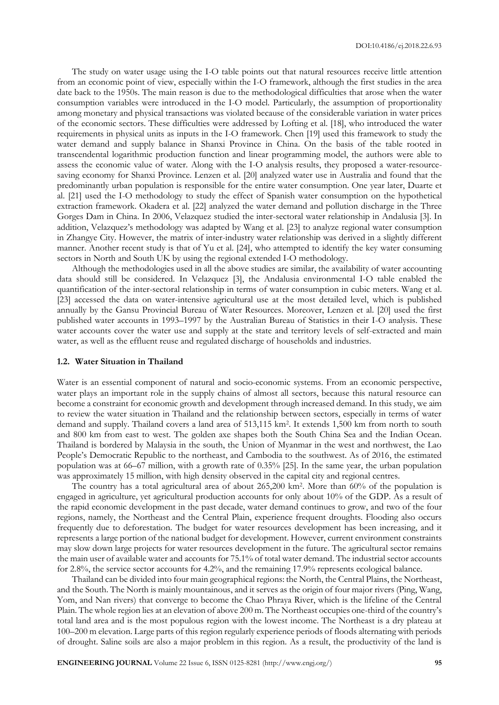The study on water usage using the I-O table points out that natural resources receive little attention from an economic point of view, especially within the I-O framework, although the first studies in the area date back to the 1950s. The main reason is due to the methodological difficulties that arose when the water consumption variables were introduced in the I-O model. Particularly, the assumption of proportionality among monetary and physical transactions was violated because of the considerable variation in water prices of the economic sectors. These difficulties were addressed by Lofting et al. [18], who introduced the water requirements in physical units as inputs in the I-O framework. Chen [19] used this framework to study the water demand and supply balance in Shanxi Province in China. On the basis of the table rooted in transcendental logarithmic production function and linear programming model, the authors were able to assess the economic value of water. Along with the I-O analysis results, they proposed a water-resourcesaving economy for Shanxi Province. Lenzen et al. [20] analyzed water use in Australia and found that the predominantly urban population is responsible for the entire water consumption. One year later, Duarte et al. [21] used the I-O methodology to study the effect of Spanish water consumption on the hypothetical extraction framework. Okadera et al. [22] analyzed the water demand and pollution discharge in the Three Gorges Dam in China. In 2006, Velazquez studied the inter-sectoral water relationship in Andalusia [3]. In addition, Velazquez's methodology was adapted by Wang et al. [23] to analyze regional water consumption in Zhangye City. However, the matrix of inter-industry water relationship was derived in a slightly different manner. Another recent study is that of Yu et al. [24], who attempted to identify the key water consuming sectors in North and South UK by using the regional extended I-O methodology.

Although the methodologies used in all the above studies are similar, the availability of water accounting data should still be considered. In Velazquez [3], the Andalusia environmental I-O table enabled the quantification of the inter-sectoral relationship in terms of water consumption in cubic meters. Wang et al. [23] accessed the data on water-intensive agricultural use at the most detailed level, which is published annually by the Gansu Provincial Bureau of Water Resources. Moreover, Lenzen et al. [20] used the first published water accounts in 1993–1997 by the Australian Bureau of Statistics in their I-O analysis. These water accounts cover the water use and supply at the state and territory levels of self-extracted and main water, as well as the effluent reuse and regulated discharge of households and industries.

#### **1.2. Water Situation in Thailand**

Water is an essential component of natural and socio-economic systems. From an economic perspective, water plays an important role in the supply chains of almost all sectors, because this natural resource can become a constraint for economic growth and development through increased demand. In this study, we aim to review the water situation in Thailand and the relationship between sectors, especially in terms of water demand and supply. Thailand covers a land area of 513,115 km<sup>2</sup> . It extends 1,500 km from north to south and 800 km from east to west. The golden axe shapes both the South China Sea and the Indian Ocean. Thailand is bordered by Malaysia in the south, the Union of Myanmar in the west and northwest, the Lao People's Democratic Republic to the northeast, and Cambodia to the southwest. As of 2016, the estimated population was at 66–67 million, with a growth rate of 0.35% [25]. In the same year, the urban population was approximately 15 million, with high density observed in the capital city and regional centres.

The country has a total agricultural area of about 265,200 km<sup>2</sup> . More than 60% of the population is engaged in agriculture, yet agricultural production accounts for only about 10% of the GDP. As a result of the rapid economic development in the past decade, water demand continues to grow, and two of the four regions, namely, the Northeast and the Central Plain, experience frequent droughts. Flooding also occurs frequently due to deforestation. The budget for water resources development has been increasing, and it represents a large portion of the national budget for development. However, current environment constraints may slow down large projects for water resources development in the future. The agricultural sector remains the main user of available water and accounts for 75.1% of total water demand. The industrial sector accounts for 2.8%, the service sector accounts for 4.2%, and the remaining 17.9% represents ecological balance.

Thailand can be divided into four main geographical regions: the North, the Central Plains, the Northeast, and the South. The North is mainly mountainous, and it serves as the origin of four major rivers (Ping, Wang, Yom, and Nan rivers) that converge to become the Chao Phraya River, which is the lifeline of the Central Plain. The whole region lies at an elevation of above 200 m. The Northeast occupies one-third of the country's total land area and is the most populous region with the lowest income. The Northeast is a dry plateau at 100–200 m elevation. Large parts of this region regularly experience periods of floods alternating with periods of drought. Saline soils are also a major problem in this region. As a result, the productivity of the land is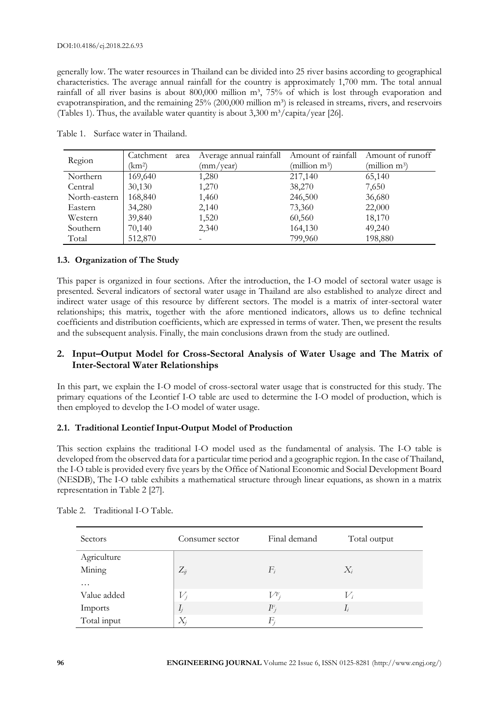generally low. The water resources in Thailand can be divided into 25 river basins according to geographical characteristics. The average annual rainfall for the country is approximately 1,700 mm. The total annual rainfall of all river basins is about 800,000 million m<sup>3</sup>, 75% of which is lost through evaporation and evapotranspiration, and the remaining  $25\%$  (200,000 million m<sup>3</sup>) is released in streams, rivers, and reservoirs (Tables 1). Thus, the available water quantity is about  $3,300 \text{ m}^3/\text{capita}/\text{year}$  [26].

| Region        | Catchment<br>area | Average annual rainfall | Amount of rainfall | Amount of runoff          |
|---------------|-------------------|-------------------------|--------------------|---------------------------|
|               | km <sup>2</sup> ) | (mm/vear)               | (million $m^3$ )   | (million m <sup>3</sup> ) |
| Northern      | 169,640           | 1,280                   | 217,140            | 65,140                    |
| Central       | 30,130            | 1,270                   | 38,270             | 7,650                     |
| North-eastern | 168,840           | 1,460                   | 246,500            | 36,680                    |
| Eastern       | 34,280            | 2,140                   | 73,360             | 22,000                    |
| Western       | 39,840            | 1,520                   | 60,560             | 18,170                    |
| Southern      | 70,140            | 2,340                   | 164,130            | 49,240                    |
| Total         | 512,870           |                         | 799,960            | 198,880                   |

Table 1. Surface water in Thailand.

## **1.3. Organization of The Study**

This paper is organized in four sections. After the introduction, the I-O model of sectoral water usage is presented. Several indicators of sectoral water usage in Thailand are also established to analyze direct and indirect water usage of this resource by different sectors. The model is a matrix of inter-sectoral water relationships; this matrix, together with the afore mentioned indicators, allows us to define technical coefficients and distribution coefficients, which are expressed in terms of water. Then, we present the results and the subsequent analysis. Finally, the main conclusions drawn from the study are outlined.

# **2. Input–Output Model for Cross-Sectoral Analysis of Water Usage and The Matrix of Inter-Sectoral Water Relationships**

In this part, we explain the I-O model of cross-sectoral water usage that is constructed for this study. The primary equations of the Leontief I-O table are used to determine the I-O model of production, which is then employed to develop the I-O model of water usage.

## **2.1. Traditional Leontief Input-Output Model of Production**

This section explains the traditional I-O model used as the fundamental of analysis. The I-O table is developed from the observed data for a particular time period and a geographic region. In the case of Thailand, the I-O table is provided every five years by the Office of National Economic and Social Development Board (NESDB), The I-O table exhibits a mathematical structure through linear equations, as shown in a matrix representation in Table 2 [27].

| Sectors     | Consumer sector | Final demand | Total output    |
|-------------|-----------------|--------------|-----------------|
| Agriculture |                 |              |                 |
| Mining      | $Z_{ij}$        | $F_i$        | $X_i$           |
| $\cdots$    |                 |              |                 |
| Value added | $V_i$           | $V^F$        | $\mathcal{V}_i$ |
| Imports     | $I_j$           | $I\!\!F_i$   | $I_i$           |
| Total input | $X_i$           | $F_i$        |                 |

Table 2. Traditional I-O Table.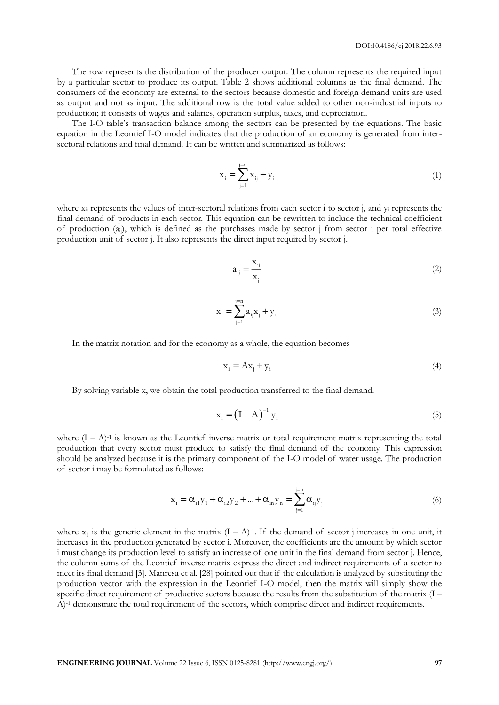The row represents the distribution of the producer output. The column represents the required input by a particular sector to produce its output. Table 2 shows additional columns as the final demand. The consumers of the economy are external to the sectors because domestic and foreign demand units are used as output and not as input. The additional row is the total value added to other non-industrial inputs to production; it consists of wages and salaries, operation surplus, taxes, and depreciation.

The I-O table's transaction balance among the sectors can be presented by the equations. The basic equation in the Leontief I-O model indicates that the production of an economy is generated from intersectoral relations and final demand. It can be written and summarized as follows:

$$
x_i = \sum_{j=1}^{j=n} x_{ij} + y_i
$$
 (1)

where  $x_{ii}$  represents the values of inter-sectoral relations from each sector i to sector j, and  $y_i$  represents the final demand of products in each sector. This equation can be rewritten to include the technical coefficient of production  $(a_{ij})$ , which is defined as the purchases made by sector j from sector i per total effective production unit of sector j. It also represents the direct input required by sector j.

$$
a_{ij} = \frac{x_{ij}}{x_j} \tag{2}
$$

$$
x_i = \sum_{j=1}^{j=n} a_{ij} x_j + y_i
$$
 (3)

In the matrix notation and for the economy as a whole, the equation becomes

$$
\mathbf{x}_{i} = \mathbf{A}\mathbf{x}_{j} + \mathbf{y}_{i} \tag{4}
$$

By solving variable x, we obtain the total production transferred to the final demand.

$$
\mathbf{x}_{i} = \left(\mathbf{I} - \mathbf{A}\right)^{-1} \mathbf{y}_{i} \tag{5}
$$

where  $(I - A)^{-1}$  is known as the Leontief inverse matrix or total requirement matrix representing the total production that every sector must produce to satisfy the final demand of the economy. This expression should be analyzed because it is the primary component of the I-O model of water usage. The production of sector i may be formulated as follows:

$$
x_{i} = \alpha_{i1}y_{1} + \alpha_{i2}y_{2} + ... + \alpha_{in}y_{n} = \sum_{j=1}^{j=n} \alpha_{ij}y_{j}
$$
 (6)

where  $\alpha_{ij}$  is the generic element in the matrix  $(I - A)^{-1}$ . If the demand of sector j increases in one unit, it increases in the production generated by sector i. Moreover, the coefficients are the amount by which sector i must change its production level to satisfy an increase of one unit in the final demand from sector j. Hence, the column sums of the Leontief inverse matrix express the direct and indirect requirements of a sector to meet its final demand [3]. Manresa et al. [28] pointed out that if the calculation is analyzed by substituting the production vector with the expression in the Leontief I-O model, then the matrix will simply show the specific direct requirement of productive sectors because the results from the substitution of the matrix (I – A)-1 demonstrate the total requirement of the sectors, which comprise direct and indirect requirements.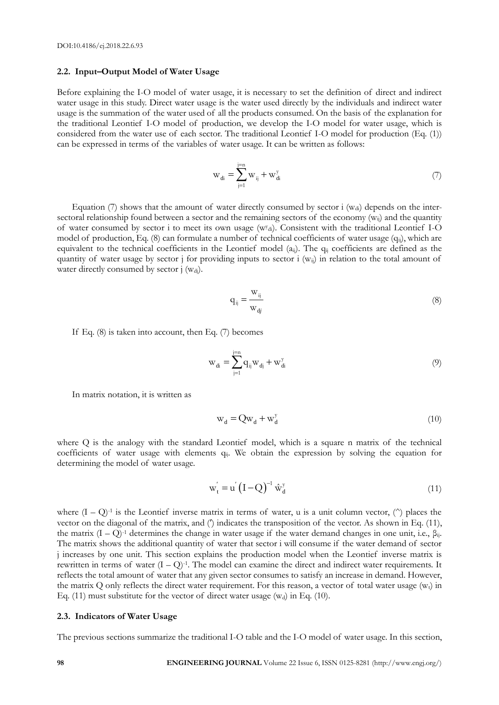#### **2.2. Input–Output Model of Water Usage**

Before explaining the I-O model of water usage, it is necessary to set the definition of direct and indirect water usage in this study. Direct water usage is the water used directly by the individuals and indirect water usage is the summation of the water used of all the products consumed. On the basis of the explanation for the traditional Leontief I-O model of production, we develop the I-O model for water usage, which is considered from the water use of each sector. The traditional Leontief I-O model for production (Eq. (1)) can be expressed in terms of the variables of water usage. It can be written as follows:

$$
w_{di} = \sum_{j=1}^{j=n} w_{ij} + w_{di}^{y}
$$
 (7)

Equation (7) shows that the amount of water directly consumed by sector i  $(w_{di})$  depends on the intersectoral relationship found between a sector and the remaining sectors of the economy  $(w_{ij})$  and the quantity of water consumed by sector i to meet its own usage (w<sup>y</sup> di). Consistent with the traditional Leontief I-O model of production, Eq. (8) can formulate a number of technical coefficients of water usage (q<sub>ij</sub>), which are equivalent to the technical coefficients in the Leontief model (a<sub>ij</sub>). The q<sub>ij</sub> coefficients are defined as the quantity of water usage by sector j for providing inputs to sector i (wij) in relation to the total amount of water directly consumed by sector  $j$  ( $w_{dj}$ ).

$$
q_{ij} = \frac{w_{ij}}{w_{dj}}
$$
 (8)

If Eq. (8) is taken into account, then Eq. (7) becomes

$$
w_{di} = \sum_{j=1}^{j=n} q_{ij} w_{dj} + w_{di}^{y}
$$
 (9)

In matrix notation, it is written as

$$
\mathbf{w}_{\mathbf{d}} = \mathbf{Q}\mathbf{w}_{\mathbf{d}} + \mathbf{w}_{\mathbf{d}}^{\mathbf{y}} \tag{10}
$$

where Q is the analogy with the standard Leontief model, which is a square n matrix of the technical coefficients of water usage with elements q<sub>ij</sub>. We obtain the expression by solving the equation for determining the model of water usage.

$$
\mathbf{w}_{t}^{'} = \mathbf{u}^{'} \left( \mathbf{I} - \mathbf{Q} \right)^{-1} \hat{\mathbf{w}}_{d}^{y} \tag{11}
$$

where  $(I - Q)^{-1}$  is the Leontief inverse matrix in terms of water, u is a unit column vector, ( $\hat{ }$ ) places the vector on the diagonal of the matrix, and ( $\hat{ }$ ) indicates the transposition of the vector. As shown in Eq. (11), the matrix  $(I - Q)^{-1}$  determines the change in water usage if the water demand changes in one unit, i.e.,  $\beta_{ii}$ . The matrix shows the additional quantity of water that sector i will consume if the water demand of sector j increases by one unit. This section explains the production model when the Leontief inverse matrix is rewritten in terms of water  $(I - Q)^{-1}$ . The model can examine the direct and indirect water requirements. It reflects the total amount of water that any given sector consumes to satisfy an increase in demand. However, the matrix Q only reflects the direct water requirement. For this reason, a vector of total water usage  $(w_t)$  in Eq. (11) must substitute for the vector of direct water usage  $(w_d)$  in Eq. (10).

#### **2.3. Indicators of Water Usage**

The previous sections summarize the traditional I-O table and the I-O model of water usage. In this section,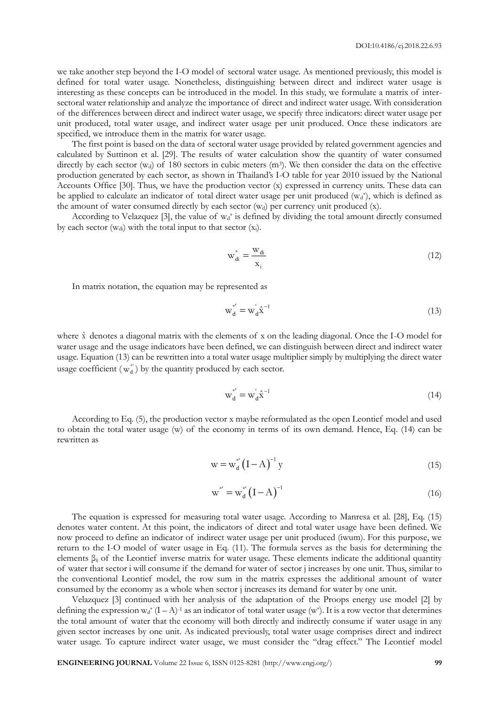we take another step beyond the I-O model of sectoral water usage. As mentioned previously, this model is defined for total water usage. Nonetheless, distinguishing between direct and indirect water usage is interesting as these concepts can be introduced in the model. In this study, we formulate a matrix of intersectoral water relationship and analyze the importance of direct and indirect water usage. With consideration of the differences between direct and indirect water usage, we specify three indicators: direct water usage per unit produced, total water usage, and indirect water usage per unit produced. Once these indicators are specified, we introduce them in the matrix for water usage.

The first point is based on the data of sectoral water usage provided by related government agencies and calculated by Suttinon et al. [29]. The results of water calculation show the quantity of water consumed directly by each sector  $(w_d)$  of 180 sectors in cubic meters  $(m^3)$ . We then consider the data on the effective production generated by each sector, as shown in Thailand's I-O table for year 2010 issued by the National Accounts Office [30]. Thus, we have the production vector (x) expressed in currency units. These data can be applied to calculate an indicator of total direct water usage per unit produced  $(w_d^*)$ , which is defined as the amount of water consumed directly by each sector  $(w_d)$  per currency unit produced  $(x)$ .

According to Velazquez [3], the value of  $w_d^*$  is defined by dividing the total amount directly consumed by each sector (wdi) with the total input to that sector (xi).

$$
w_{di}^* = \frac{w_{di}}{x_i} \tag{12}
$$

In matrix notation, the equation may be represented as

$$
\mathbf{w}_\mathbf{d}^{*'} = \mathbf{w}_\mathbf{d}^{'} \hat{\mathbf{x}}^{-1} \tag{13}
$$

where  $\hat{x}$  denotes a diagonal matrix with the elements of x on the leading diagonal. Once the I-O model for water usage and the usage indicators have been defined, we can distinguish between direct and indirect water usage. Equation (13) can be rewritten into a total water usage multiplier simply by multiplying the direct water usage coefficient  $(w_d^{\ast})$  by the quantity produced by each sector.

$$
\mathbf{w}_{\mathbf{d}}^{*'} = \mathbf{w}_{\mathbf{d}}^{'} \hat{\mathbf{x}}^{-1} \tag{14}
$$

According to Eq. (5), the production vector x maybe reformulated as the open Leontief model and used to obtain the total water usage (w) of the economy in terms of its own demand. Hence, Eq. (14) can be rewritten as

$$
w = w_d^* (I - A)^{-1} y \tag{15}
$$

$$
w^* = w_d^* (I - A)^{-1}
$$
 (16)

The equation is expressed for measuring total water usage. According to Manresa et al. [28], Eq. (15) denotes water content. At this point, the indicators of direct and total water usage have been defined. We now proceed to define an indicator of indirect water usage per unit produced (iwum). For this purpose, we return to the I-O model of water usage in Eq. (11). The formula serves as the basis for determining the elements  $\beta_{ij}$  of the Leontief inverse matrix for water usage. These elements indicate the additional quantity of water that sector i will consume if the demand for water of sector j increases by one unit. Thus, similar to the conventional Leontief model, the row sum in the matrix expresses the additional amount of water consumed by the economy as a whole when sector j increases its demand for water by one unit.

Velazquez [3] continued with her analysis of the adaptation of the Proops energy use model [2] by defining the expression  $w_d^*(I-A)^{-1}$  as an indicator of total water usage  $(w^*)$ . It is a row vector that determines the total amount of water that the economy will both directly and indirectly consume if water usage in any given sector increases by one unit. As indicated previously, total water usage comprises direct and indirect water usage. To capture indirect water usage, we must consider the "drag effect." The Leontief model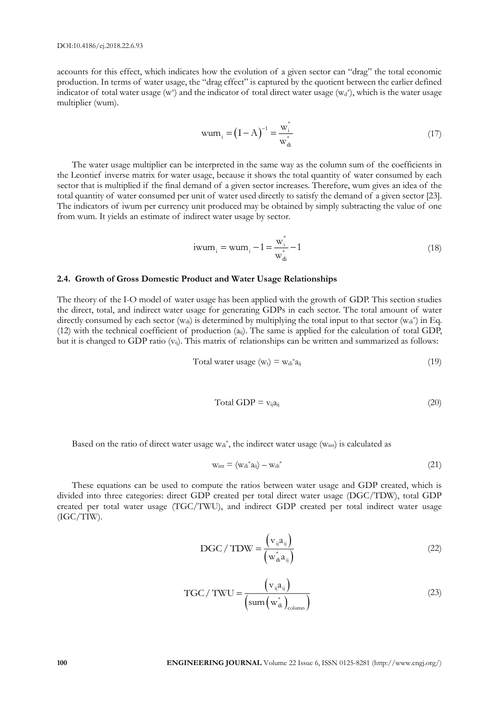accounts for this effect, which indicates how the evolution of a given sector can "drag" the total economic production. In terms of water usage, the "drag effect" is captured by the quotient between the earlier defined indicator of total water usage (w\*) and the indicator of total direct water usage ( $w_d$ \*), which is the water usage multiplier (wum).

$$
wum_i = (I - A)^{-1} = \frac{w_i^*}{w_{di}^*}
$$
\n(17)

The water usage multiplier can be interpreted in the same way as the column sum of the coefficients in the Leontief inverse matrix for water usage, because it shows the total quantity of water consumed by each sector that is multiplied if the final demand of a given sector increases. Therefore, wum gives an idea of the total quantity of water consumed per unit of water used directly to satisfy the demand of a given sector [23]. The indicators of iwum per currency unit produced may be obtained by simply subtracting the value of one from wum. It yields an estimate of indirect water usage by sector.

$$
i\text{wum}_{i} = \text{wum}_{i} - 1 = \frac{\text{w}_{i}^{*}}{\text{w}_{di}^{*}} - 1
$$
\n(18)

#### **2.4. Growth of Gross Domestic Product and Water Usage Relationships**

The theory of the I-O model of water usage has been applied with the growth of GDP. This section studies the direct, total, and indirect water usage for generating GDPs in each sector. The total amount of water directly consumed by each sector ( $w_{di}$ ) is determined by multiplying the total input to that sector ( $w_{di}^*$ ) in Eq. (12) with the technical coefficient of production (aij). The same is applied for the calculation of total GDP, but it is changed to GDP ratio  $(v_{ii})$ . This matrix of relationships can be written and summarized as follows:

$$
Total water usage (wt) = wdi* aij
$$
\n(19)

$$
Total GDP = v_{ij}a_{ij}
$$
\n(20)

Based on the ratio of direct water usage  $w_{di}$ <sup>\*</sup>, the indirect water usage ( $w_{int}$ ) is calculated as

$$
w_{int} = (w_{di} * a_{ij}) - w_{di} * \tag{21}
$$

These equations can be used to compute the ratios between water usage and GDP created, which is divided into three categories: direct GDP created per total direct water usage (DGC/TDW), total GDP created per total water usage (TGC/TWU), and indirect GDP created per total indirect water usage (IGC/TIW).

$$
DGC / TDW = \frac{\left(v_{ij}a_{ij}\right)}{\left(w_{di}^*a_{ij}\right)}
$$
(22)

$$
TGC/TWU = \frac{\left(v_{ij}a_{ij}\right)}{\left(\text{sum}\left(w_{di}^*\right)_{\text{column}}\right)}
$$
(23)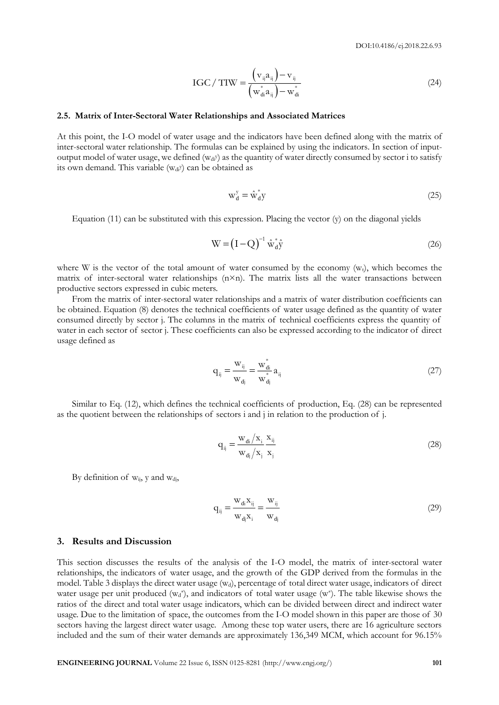$$
IGC / TIW = \frac{\left(v_{ij}a_{ij}\right) - v_{ij}}{\left(w_{di}^*a_{ij}\right) - w_{di}^*}
$$
\n(24)

#### **2.5. Matrix of Inter-Sectoral Water Relationships and Associated Matrices**

At this point, the I-O model of water usage and the indicators have been defined along with the matrix of inter-sectoral water relationship. The formulas can be explained by using the indicators. In section of inputoutput model of water usage, we defined (w<sub>di</sub>y) as the quantity of water directly consumed by sector i to satisfy its own demand. This variable  $(w_{di}y)$  can be obtained as

$$
w_d^y = \hat{w}_d^* y \tag{25}
$$

Equation  $(11)$  can be substituted with this expression. Placing the vector  $(y)$  on the diagonal yields

$$
W = (I - Q)^{-1} \hat{w}_d^* \hat{y}
$$
 (26)

where W is the vector of the total amount of water consumed by the economy  $(w_t)$ , which becomes the matrix of inter-sectoral water relationships  $(n \times n)$ . The matrix lists all the water transactions between productive sectors expressed in cubic meters.

From the matrix of inter-sectoral water relationships and a matrix of water distribution coefficients can be obtained. Equation (8) denotes the technical coefficients of water usage defined as the quantity of water consumed directly by sector j. The columns in the matrix of technical coefficients express the quantity of water in each sector of sector j. These coefficients can also be expressed according to the indicator of direct usage defined as

$$
q_{ij} = \frac{w_{ij}}{w_{dj}} = \frac{w_{di}^*}{w_{dj}^*} a_{ij}
$$
 (27)

Similar to Eq. (12), which defines the technical coefficients of production, Eq. (28) can be represented as the quotient between the relationships of sectors i and j in relation to the production of j.

$$
q_{ij} = \frac{w_{di}/x_i}{w_{dj}/x_j} \frac{x_{ij}}{x_j}
$$
 (28)

By definition of  $w_{ij}$ , y and  $w_{di}$ ,

$$
q_{ij} = \frac{w_{di} x_{ij}}{w_{dj} x_i} = \frac{w_{ij}}{w_{dj}}
$$
\n(29)

#### **3. Results and Discussion**

**ELECT 138**<br> **ELECT 12** CAN a stationary controlled by  $\frac{w_1}{w_1} = \frac{w_1}{w_2}$  ( $\frac{w_2}{w_1} = \frac{w_1}{w_2}$ <br>
As this point, the LAD model of water traditions have a different Marriers and the method of water traditions th This section discusses the results of the analysis of the I-O model, the matrix of inter-sectoral water relationships, the indicators of water usage, and the growth of the GDP derived from the formulas in the model. Table 3 displays the direct water usage (wd), percentage of total direct water usage, indicators of direct water usage per unit produced  $(w_d^*)$ , and indicators of total water usage  $(w^*)$ . The table likewise shows the ratios of the direct and total water usage indicators, which can be divided between direct and indirect water usage. Due to the limitation of space, the outcomes from the I-O model shown in this paper are those of 30 sectors having the largest direct water usage. Among these top water users, there are 16 agriculture sectors included and the sum of their water demands are approximately 136,349 MCM, which account for 96.15%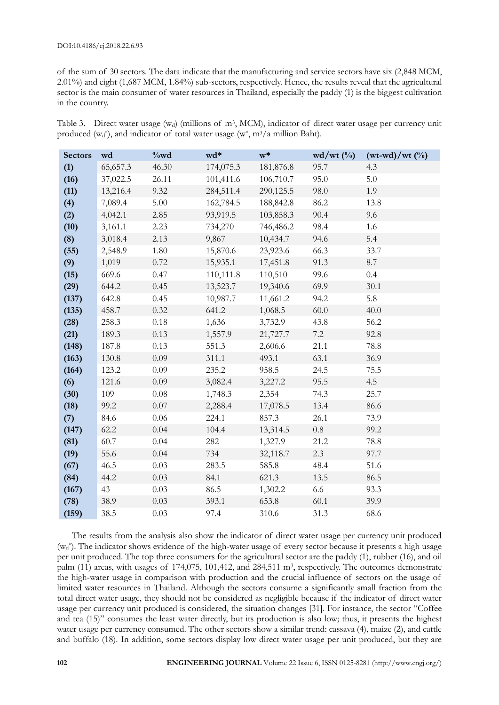of the sum of 30 sectors. The data indicate that the manufacturing and service sectors have six (2,848 MCM, 2.01%) and eight (1,687 MCM, 1.84%) sub-sectors, respectively. Hence, the results reveal that the agricultural sector is the main consumer of water resources in Thailand, especially the paddy (1) is the biggest cultivation in the country.

Table 3. Direct water usage (w<sub>d</sub>) (millions of m<sup>3</sup>, MCM), indicator of direct water usage per currency unit produced ( $w_d^*$ ), and indicator of total water usage ( $w^*$ , m<sup>3</sup>/a million Baht).

| <b>Sectors</b> | wd       | $\%wd$   | wd*       | $\mathbf{w}^*$ | $wd/wt$ (%) | $(wt-wd)/wt$ (%) |
|----------------|----------|----------|-----------|----------------|-------------|------------------|
| (1)            | 65,657.3 | 46.30    | 174,075.3 | 181,876.8      | 95.7        | 4.3              |
| (16)           | 37,022.5 | 26.11    | 101,411.6 | 106,710.7      | 95.0        | 5.0              |
| (11)           | 13,216.4 | 9.32     | 284,511.4 | 290,125.5      | 98.0        | 1.9              |
| (4)            | 7,089.4  | 5.00     | 162,784.5 | 188,842.8      | 86.2        | 13.8             |
| (2)            | 4,042.1  | 2.85     | 93,919.5  | 103,858.3      | 90.4        | 9.6              |
| (10)           | 3,161.1  | 2.23     | 734,270   | 746,486.2      | 98.4        | 1.6              |
| (8)            | 3,018.4  | 2.13     | 9,867     | 10,434.7       | 94.6        | 5.4              |
| (55)           | 2,548.9  | 1.80     | 15,870.6  | 23,923.6       | 66.3        | 33.7             |
| (9)            | 1,019    | 0.72     | 15,935.1  | 17,451.8       | 91.3        | 8.7              |
| (15)           | 669.6    | 0.47     | 110,111.8 | 110,510        | 99.6        | 0.4              |
| (29)           | 644.2    | 0.45     | 13,523.7  | 19,340.6       | 69.9        | 30.1             |
| (137)          | 642.8    | 0.45     | 10,987.7  | 11,661.2       | 94.2        | 5.8              |
| (135)          | 458.7    | 0.32     | 641.2     | 1,068.5        | 60.0        | 40.0             |
| (28)           | 258.3    | 0.18     | 1,636     | 3,732.9        | 43.8        | 56.2             |
| (21)           | 189.3    | 0.13     | 1,557.9   | 21,727.7       | 7.2         | 92.8             |
| (148)          | 187.8    | 0.13     | 551.3     | 2,606.6        | 21.1        | $78.8\,$         |
| (163)          | 130.8    | 0.09     | 311.1     | 493.1          | 63.1        | 36.9             |
| (164)          | 123.2    | 0.09     | 235.2     | 958.5          | 24.5        | 75.5             |
| (6)            | 121.6    | 0.09     | 3,082.4   | 3,227.2        | 95.5        | 4.5              |
| (30)           | 109      | $0.08\,$ | 1,748.3   | 2,354          | 74.3        | 25.7             |
| (18)           | 99.2     | 0.07     | 2,288.4   | 17,078.5       | 13.4        | 86.6             |
| (7)            | 84.6     | 0.06     | 224.1     | 857.3          | 26.1        | 73.9             |
| (147)          | 62.2     | 0.04     | 104.4     | 13,314.5       | $0.8\,$     | 99.2             |
| (81)           | 60.7     | $0.04\,$ | 282       | 1,327.9        | 21.2        | 78.8             |
| (19)           | 55.6     | 0.04     | 734       | 32,118.7       | 2.3         | 97.7             |
| (67)           | 46.5     | 0.03     | 283.5     | 585.8          | 48.4        | 51.6             |
| (84)           | 44.2     | 0.03     | 84.1      | 621.3          | 13.5        | 86.5             |
| (167)          | 43       | 0.03     | 86.5      | 1,302.2        | 6.6         | 93.3             |
| (78)           | 38.9     | 0.03     | 393.1     | 653.8          | 60.1        | 39.9             |
| (159)          | 38.5     | 0.03     | 97.4      | 310.6          | 31.3        | 68.6             |

The results from the analysis also show the indicator of direct water usage per currency unit produced (w<sub>d</sub>\*). The indicator shows evidence of the high-water usage of every sector because it presents a high usage per unit produced. The top three consumers for the agricultural sector are the paddy (1), rubber (16), and oil palm (11) areas, with usages of 174,075, 101,412, and 284,511 m<sup>3</sup>, respectively. The outcomes demonstrate the high-water usage in comparison with production and the crucial influence of sectors on the usage of limited water resources in Thailand. Although the sectors consume a significantly small fraction from the total direct water usage, they should not be considered as negligible because if the indicator of direct water usage per currency unit produced is considered, the situation changes [31]. For instance, the sector "Coffee and tea (15)" consumes the least water directly, but its production is also low; thus, it presents the highest water usage per currency consumed. The other sectors show a similar trend: cassava (4), maize (2), and cattle and buffalo (18). In addition, some sectors display low direct water usage per unit produced, but they are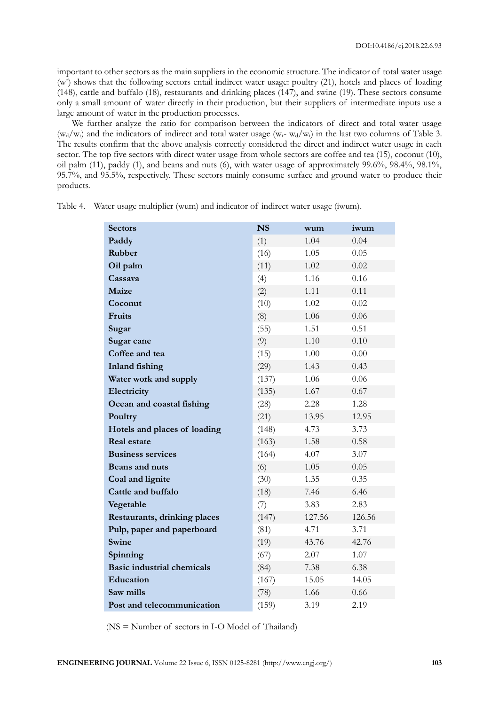important to other sectors as the main suppliers in the economic structure. The indicator of total water usage (w\* ) shows that the following sectors entail indirect water usage: poultry (21), hotels and places of loading (148), cattle and buffalo (18), restaurants and drinking places (147), and swine (19). These sectors consume only a small amount of water directly in their production, but their suppliers of intermediate inputs use a large amount of water in the production processes.

We further analyze the ratio for comparison between the indicators of direct and total water usage  $(w_d/w_t)$  and the indicators of indirect and total water usage  $(w_t - w_d/w_t)$  in the last two columns of Table 3. The results confirm that the above analysis correctly considered the direct and indirect water usage in each sector. The top five sectors with direct water usage from whole sectors are coffee and tea (15), coconut (10), oil palm (11), paddy (1), and beans and nuts (6), with water usage of approximately 99.6%, 98.4%, 98.1%, 95.7%, and 95.5%, respectively. These sectors mainly consume surface and ground water to produce their products.

| <b>Sectors</b>                    | <b>NS</b> | wum    | iwum   |
|-----------------------------------|-----------|--------|--------|
| Paddy                             | (1)       | 1.04   | 0.04   |
| Rubber                            | (16)      | 1.05   | 0.05   |
| Oil palm                          | (11)      | 1.02   | 0.02   |
| Cassava                           | (4)       | 1.16   | 0.16   |
| Maize                             | (2)       | 1.11   | 0.11   |
| Coconut                           | (10)      | 1.02   | 0.02   |
| Fruits                            | (8)       | 1.06   | 0.06   |
| Sugar                             | (55)      | 1.51   | 0.51   |
| Sugar cane                        | (9)       | 1.10   | 0.10   |
| Coffee and tea                    | (15)      | 1.00   | 0.00   |
| <b>Inland fishing</b>             | (29)      | 1.43   | 0.43   |
| Water work and supply             | (137)     | 1.06   | 0.06   |
| Electricity                       | (135)     | 1.67   | 0.67   |
| Ocean and coastal fishing         | (28)      | 2.28   | 1.28   |
| Poultry                           | (21)      | 13.95  | 12.95  |
| Hotels and places of loading      | (148)     | 4.73   | 3.73   |
| <b>Real estate</b>                | (163)     | 1.58   | 0.58   |
| <b>Business services</b>          | (164)     | 4.07   | 3.07   |
| <b>Beans and nuts</b>             | (6)       | 1.05   | 0.05   |
| Coal and lignite                  | (30)      | 1.35   | 0.35   |
| Cattle and buffalo                | (18)      | 7.46   | 6.46   |
| Vegetable                         | (7)       | 3.83   | 2.83   |
| Restaurants, drinking places      | (147)     | 127.56 | 126.56 |
| Pulp, paper and paperboard        | (81)      | 4.71   | 3.71   |
| Swine                             | (19)      | 43.76  | 42.76  |
| Spinning                          | (67)      | 2.07   | 1.07   |
| <b>Basic industrial chemicals</b> | (84)      | 7.38   | 6.38   |
| Education                         | (167)     | 15.05  | 14.05  |
| Saw mills                         | (78)      | 1.66   | 0.66   |
| Post and telecommunication        | (159)     | 3.19   | 2.19   |

Table 4. Water usage multiplier (wum) and indicator of indirect water usage (iwum).

(NS = Number of sectors in I-O Model of Thailand)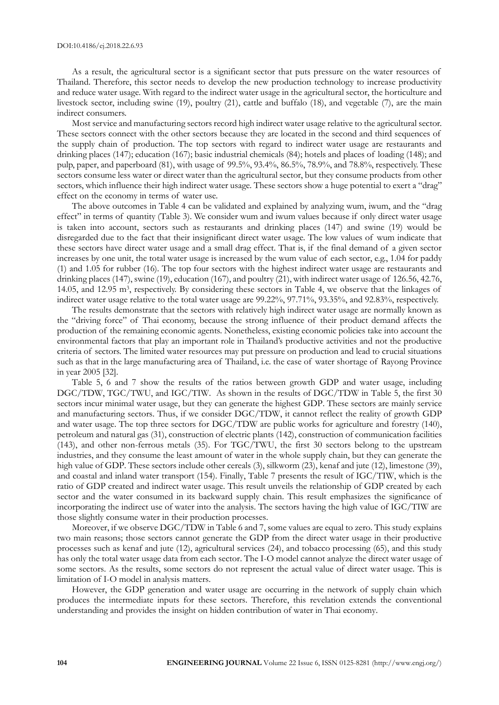As a result, the agricultural sector is a significant sector that puts pressure on the water resources of Thailand. Therefore, this sector needs to develop the new production technology to increase productivity and reduce water usage. With regard to the indirect water usage in the agricultural sector, the horticulture and livestock sector, including swine (19), poultry (21), cattle and buffalo (18), and vegetable (7), are the main indirect consumers.

Most service and manufacturing sectors record high indirect water usage relative to the agricultural sector. These sectors connect with the other sectors because they are located in the second and third sequences of the supply chain of production. The top sectors with regard to indirect water usage are restaurants and drinking places (147); education (167); basic industrial chemicals (84); hotels and places of loading (148); and pulp, paper, and paperboard (81), with usage of 99.5%, 93.4%, 86.5%, 78.9%, and 78.8%, respectively. These sectors consume less water or direct water than the agricultural sector, but they consume products from other sectors, which influence their high indirect water usage. These sectors show a huge potential to exert a "drag" effect on the economy in terms of water use.

The above outcomes in Table 4 can be validated and explained by analyzing wum, iwum, and the "drag effect" in terms of quantity (Table 3). We consider wum and iwum values because if only direct water usage is taken into account, sectors such as restaurants and drinking places (147) and swine (19) would be disregarded due to the fact that their insignificant direct water usage. The low values of wum indicate that these sectors have direct water usage and a small drag effect. That is, if the final demand of a given sector increases by one unit, the total water usage is increased by the wum value of each sector, e.g., 1.04 for paddy (1) and 1.05 for rubber (16). The top four sectors with the highest indirect water usage are restaurants and drinking places (147), swine (19), education (167), and poultry (21), with indirect water usage of 126.56, 42.76, 14.05, and 12.95 m<sup>3</sup> , respectively. By considering these sectors in Table 4, we observe that the linkages of indirect water usage relative to the total water usage are 99.22%, 97.71%, 93.35%, and 92.83%, respectively.

The results demonstrate that the sectors with relatively high indirect water usage are normally known as the "driving force" of Thai economy, because the strong influence of their product demand affects the production of the remaining economic agents. Nonetheless, existing economic policies take into account the environmental factors that play an important role in Thailand's productive activities and not the productive criteria of sectors. The limited water resources may put pressure on production and lead to crucial situations such as that in the large manufacturing area of Thailand, i.e. the case of water shortage of Rayong Province in year 2005 [32].

Table 5, 6 and 7 show the results of the ratios between growth GDP and water usage, including DGC/TDW, TGC/TWU, and IGC/TIW. As shown in the results of DGC/TDW in Table 5, the first 30 sectors incur minimal water usage, but they can generate the highest GDP. These sectors are mainly service and manufacturing sectors. Thus, if we consider DGC/TDW, it cannot reflect the reality of growth GDP and water usage. The top three sectors for DGC/TDW are public works for agriculture and forestry (140), petroleum and natural gas (31), construction of electric plants (142), construction of communication facilities (143), and other non-ferrous metals (35). For TGC/TWU, the first 30 sectors belong to the upstream industries, and they consume the least amount of water in the whole supply chain, but they can generate the high value of GDP. These sectors include other cereals (3), silkworm (23), kenaf and jute (12), limestone (39), and coastal and inland water transport (154). Finally, Table 7 presents the result of IGC/TIW, which is the ratio of GDP created and indirect water usage. This result unveils the relationship of GDP created by each sector and the water consumed in its backward supply chain. This result emphasizes the significance of incorporating the indirect use of water into the analysis. The sectors having the high value of IGC/TIW are those slightly consume water in their production processes.

Moreover, if we observe DGC/TDW in Table 6 and 7, some values are equal to zero. This study explains two main reasons; those sectors cannot generate the GDP from the direct water usage in their productive processes such as kenaf and jute (12), agricultural services (24), and tobacco processing (65), and this study has only the total water usage data from each sector. The I-O model cannot analyze the direct water usage of some sectors. As the results, some sectors do not represent the actual value of direct water usage. This is limitation of I-O model in analysis matters.

However, the GDP generation and water usage are occurring in the network of supply chain which produces the intermediate inputs for these sectors. Therefore, this revelation extends the conventional understanding and provides the insight on hidden contribution of water in Thai economy.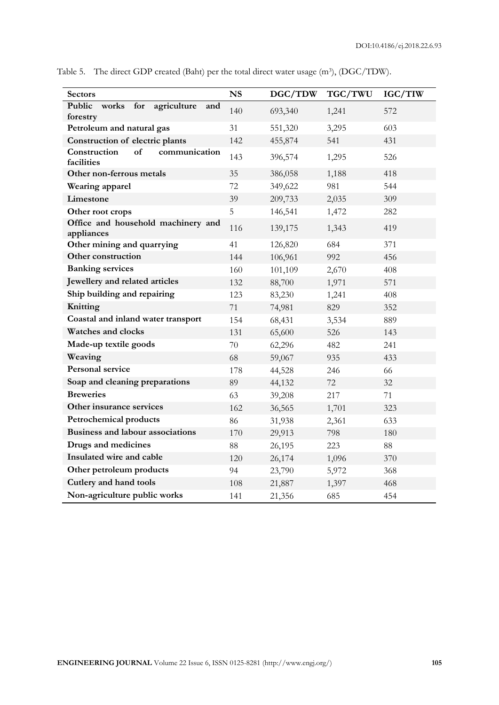| <b>Sectors</b>                                           | <b>NS</b> | DGC/TDW | TGC/TWU | IGC/TIW |
|----------------------------------------------------------|-----------|---------|---------|---------|
| Public<br>agriculture<br>for<br>works<br>and<br>forestry | 140       | 693,340 | 1,241   | 572     |
| Petroleum and natural gas                                | 31        | 551,320 | 3,295   | 603     |
| Construction of electric plants                          | 142       | 455,874 | 541     | 431     |
| of<br>Construction<br>communication<br>facilities        | 143       | 396,574 | 1,295   | 526     |
| Other non-ferrous metals                                 | 35        | 386,058 | 1,188   | 418     |
| Wearing apparel                                          | 72        | 349,622 | 981     | 544     |
| Limestone                                                | 39        | 209,733 | 2,035   | 309     |
| Other root crops                                         | 5         | 146,541 | 1,472   | 282     |
| Office and household machinery and<br>appliances         | 116       | 139,175 | 1,343   | 419     |
| Other mining and quarrying                               | 41        | 126,820 | 684     | 371     |
| Other construction                                       | 144       | 106,961 | 992     | 456     |
| <b>Banking services</b>                                  | 160       | 101,109 | 2,670   | 408     |
| Jewellery and related articles                           | 132       | 88,700  | 1,971   | 571     |
| Ship building and repairing                              | 123       | 83,230  | 1,241   | 408     |
| Knitting                                                 | 71        | 74,981  | 829     | 352     |
| Coastal and inland water transport                       | 154       | 68,431  | 3,534   | 889     |
| <b>Watches and clocks</b>                                | 131       | 65,600  | 526     | 143     |
| Made-up textile goods                                    | 70        | 62,296  | 482     | 241     |
| Weaving                                                  | 68        | 59,067  | 935     | 433     |
| <b>Personal service</b>                                  | 178       | 44,528  | 246     | 66      |
| Soap and cleaning preparations                           | 89        | 44,132  | 72      | 32      |
| <b>Breweries</b>                                         | 63        | 39,208  | 217     | 71      |
| Other insurance services                                 | 162       | 36,565  | 1,701   | 323     |
| Petrochemical products                                   | 86        | 31,938  | 2,361   | 633     |
| <b>Business and labour associations</b>                  | 170       | 29,913  | 798     | 180     |
| Drugs and medicines                                      | 88        | 26,195  | 223     | 88      |
| Insulated wire and cable                                 | 120       | 26,174  | 1,096   | 370     |
| Other petroleum products                                 | 94        | 23,790  | 5,972   | 368     |
| Cutlery and hand tools                                   | 108       | 21,887  | 1,397   | 468     |
| Non-agriculture public works                             | 141       | 21,356  | 685     | 454     |

Table 5. The direct GDP created (Baht) per the total direct water usage (m<sup>3</sup>), (DGC/TDW).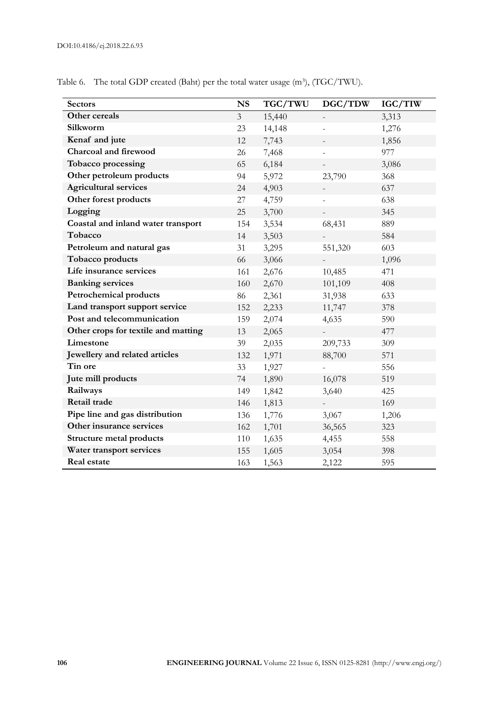| <b>Sectors</b>                      | <b>NS</b>      | TGC/TWU | DGC/TDW                  | IGC/TIW |
|-------------------------------------|----------------|---------|--------------------------|---------|
| Other cereals                       | $\overline{3}$ | 15,440  | $\overline{\phantom{a}}$ | 3,313   |
| Silkworm                            | 23             | 14,148  |                          | 1,276   |
| Kenaf and jute                      | 12             | 7,743   |                          | 1,856   |
| Charcoal and firewood               | 26             | 7,468   |                          | 977     |
| Tobacco processing                  | 65             | 6,184   |                          | 3,086   |
| Other petroleum products            | 94             | 5,972   | 23,790                   | 368     |
| <b>Agricultural services</b>        | 24             | 4,903   |                          | 637     |
| Other forest products               | 27             | 4,759   |                          | 638     |
| Logging                             | 25             | 3,700   |                          | 345     |
| Coastal and inland water transport  | 154            | 3,534   | 68,431                   | 889     |
| Tobacco                             | 14             | 3,503   |                          | 584     |
| Petroleum and natural gas           | 31             | 3,295   | 551,320                  | 603     |
| Tobacco products                    | 66             | 3,066   |                          | 1,096   |
| Life insurance services             | 161            | 2,676   | 10,485                   | 471     |
| <b>Banking services</b>             | 160            | 2,670   | 101,109                  | 408     |
| Petrochemical products              | 86             | 2,361   | 31,938                   | 633     |
| Land transport support service      | 152            | 2,233   | 11,747                   | 378     |
| Post and telecommunication          | 159            | 2,074   | 4,635                    | 590     |
| Other crops for textile and matting | 13             | 2,065   |                          | 477     |
| Limestone                           | 39             | 2,035   | 209,733                  | 309     |
| Jewellery and related articles      | 132            | 1,971   | 88,700                   | 571     |
| Tin ore                             | 33             | 1,927   |                          | 556     |
| Jute mill products                  | 74             | 1,890   | 16,078                   | 519     |
| Railways                            | 149            | 1,842   | 3,640                    | 425     |
| Retail trade                        | 146            | 1,813   |                          | 169     |
| Pipe line and gas distribution      | 136            | 1,776   | 3,067                    | 1,206   |
| Other insurance services            | 162            | 1,701   | 36,565                   | 323     |
| <b>Structure metal products</b>     | 110            | 1,635   | 4,455                    | 558     |
| Water transport services            | 155            | 1,605   | 3,054                    | 398     |
| Real estate                         | 163            | 1,563   | 2,122                    | 595     |

Table 6. The total GDP created (Baht) per the total water usage (m<sup>3</sup>), (TGC/TWU).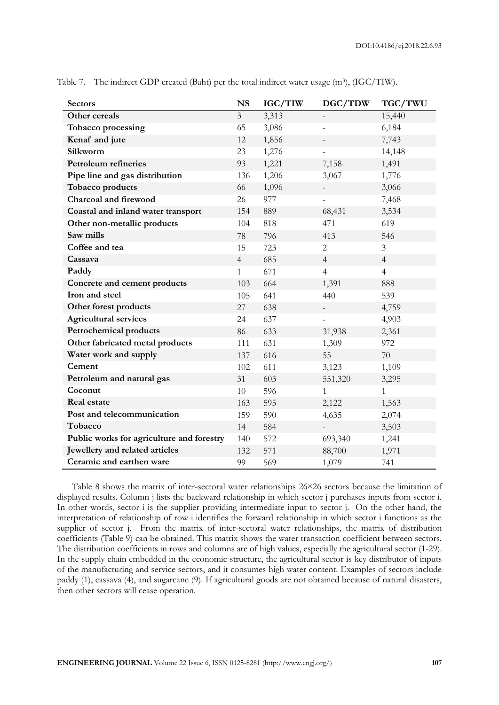| <b>Sectors</b>                            | <b>NS</b>               | IGC/TIW | DGC/TDW                  | TGC/TWU        |
|-------------------------------------------|-------------------------|---------|--------------------------|----------------|
| Other cereals                             | $\overline{\mathbf{3}}$ | 3,313   |                          | 15,440         |
| Tobacco processing                        | 65                      | 3,086   | $\overline{\phantom{0}}$ | 6,184          |
| Kenaf and jute                            | 12                      | 1,856   |                          | 7,743          |
| Silkworm                                  | 23                      | 1,276   |                          | 14,148         |
| <b>Petroleum refineries</b>               | 93                      | 1,221   | 7,158                    | 1,491          |
| Pipe line and gas distribution            | 136                     | 1,206   | 3,067                    | 1,776          |
| Tobacco products                          | 66                      | 1,096   | $\frac{1}{2}$            | 3,066          |
| Charcoal and firewood                     | 26                      | 977     |                          | 7,468          |
| Coastal and inland water transport        | 154                     | 889     | 68,431                   | 3,534          |
| Other non-metallic products               | 104                     | 818     | 471                      | 619            |
| Saw mills                                 | 78                      | 796     | 413                      | 546            |
| Coffee and tea                            | 15                      | 723     | $\overline{c}$           | 3              |
| Cassava                                   | $\overline{4}$          | 685     | $\overline{4}$           | $\overline{4}$ |
| Paddy                                     | $\mathbf{1}$            | 671     | $\overline{4}$           | $\overline{4}$ |
| Concrete and cement products              | 103                     | 664     | 1,391                    | 888            |
| Iron and steel                            | 105                     | 641     | 440                      | 539            |
| Other forest products                     | 27                      | 638     | $\overline{\phantom{0}}$ | 4,759          |
| <b>Agricultural services</b>              | 24                      | 637     |                          | 4,903          |
| <b>Petrochemical products</b>             | 86                      | 633     | 31,938                   | 2,361          |
| Other fabricated metal products           | 111                     | 631     | 1,309                    | 972            |
| Water work and supply                     | 137                     | 616     | 55                       | 70             |
| Cement                                    | 102                     | 611     | 3,123                    | 1,109          |
| Petroleum and natural gas                 | 31                      | 603     | 551,320                  | 3,295          |
| Coconut                                   | 10                      | 596     | $\mathbf{1}$             | $\mathbf{1}$   |
| <b>Real estate</b>                        | 163                     | 595     | 2,122                    | 1,563          |
| Post and telecommunication                | 159                     | 590     | 4,635                    | 2,074          |
| Tobacco                                   | 14                      | 584     |                          | 3,503          |
| Public works for agriculture and forestry | 140                     | 572     | 693,340                  | 1,241          |
| Jewellery and related articles            | 132                     | 571     | 88,700                   | 1,971          |
| Ceramic and earthen ware                  | 99                      | 569     | 1,079                    | 741            |

Table 7. The indirect GDP created (Baht) per the total indirect water usage (m<sup>3</sup>), (IGC/TIW).

Table 8 shows the matrix of inter-sectoral water relationships 26×26 sectors because the limitation of displayed results. Column j lists the backward relationship in which sector j purchases inputs from sector i. In other words, sector i is the supplier providing intermediate input to sector j. On the other hand, the interpretation of relationship of row i identifies the forward relationship in which sector i functions as the supplier of sector j. From the matrix of inter-sectoral water relationships, the matrix of distribution coefficients (Table 9) can be obtained. This matrix shows the water transaction coefficient between sectors. The distribution coefficients in rows and columns are of high values, especially the agricultural sector (1-29). In the supply chain embedded in the economic structure, the agricultural sector is key distributor of inputs of the manufacturing and service sectors, and it consumes high water content. Examples of sectors include paddy (1), cassava (4), and sugarcane (9). If agricultural goods are not obtained because of natural disasters, then other sectors will cease operation.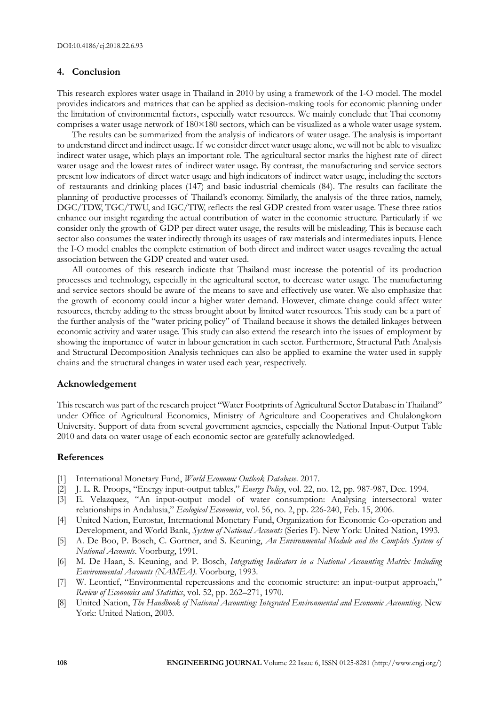## **4. Conclusion**

This research explores water usage in Thailand in 2010 by using a framework of the I-O model. The model provides indicators and matrices that can be applied as decision-making tools for economic planning under the limitation of environmental factors, especially water resources. We mainly conclude that Thai economy comprises a water usage network of 180×180 sectors, which can be visualized as a whole water usage system.

The results can be summarized from the analysis of indicators of water usage. The analysis is important to understand direct and indirect usage. If we consider direct water usage alone, we will not be able to visualize indirect water usage, which plays an important role. The agricultural sector marks the highest rate of direct water usage and the lowest rates of indirect water usage. By contrast, the manufacturing and service sectors present low indicators of direct water usage and high indicators of indirect water usage, including the sectors of restaurants and drinking places (147) and basic industrial chemicals (84). The results can facilitate the planning of productive processes of Thailand's economy. Similarly, the analysis of the three ratios, namely, DGC/TDW, TGC/TWU, and IGC/TIW, reflects the real GDP created from water usage. These three ratios enhance our insight regarding the actual contribution of water in the economic structure. Particularly if we consider only the growth of GDP per direct water usage, the results will be misleading. This is because each sector also consumes the water indirectly through its usages of raw materials and intermediates inputs. Hence the I-O model enables the complete estimation of both direct and indirect water usages revealing the actual association between the GDP created and water used.

All outcomes of this research indicate that Thailand must increase the potential of its production processes and technology, especially in the agricultural sector, to decrease water usage. The manufacturing and service sectors should be aware of the means to save and effectively use water. We also emphasize that the growth of economy could incur a higher water demand. However, climate change could affect water resources, thereby adding to the stress brought about by limited water resources. This study can be a part of the further analysis of the "water pricing policy" of Thailand because it shows the detailed linkages between economic activity and water usage. This study can also extend the research into the issues of employment by showing the importance of water in labour generation in each sector. Furthermore, Structural Path Analysis and Structural Decomposition Analysis techniques can also be applied to examine the water used in supply chains and the structural changes in water used each year, respectively.

#### **Acknowledgement**

This research was part of the research project "Water Footprints of Agricultural Sector Database in Thailand" under Office of Agricultural Economics, Ministry of Agriculture and Cooperatives and Chulalongkorn University. Support of data from several government agencies, especially the National Input-Output Table 2010 and data on water usage of each economic sector are gratefully acknowledged.

#### **References**

- [1] International Monetary Fund, *World Economic Outlook Database*. 2017.
- [2] J. L. R. Proops, "Energy input-output tables," *Energy Policy*, vol. 22, no. 12, pp. 987-987, Dec. 1994.
- [3] E. Velazquez, "An input-output model of water consumption: Analysing intersectoral water relationships in Andalusia," *Ecological Economics*, vol. 56, no. 2, pp. 226-240, Feb. 15, 2006.
- [4] United Nation, Eurostat, International Monetary Fund, Organization for Economic Co-operation and Development, and World Bank, *System of National Accounts* (Series F). New York: United Nation, 1993.
- [5] A. De Boo, P. Bosch, C. Gortner, and S. Keuning, *An Environmental Module and the Complete System of National Accounts*. Voorburg, 1991.
- [6] M. De Haan, S. Keuning, and P. Bosch, *Integrating Indicators in a National Accounting Matrix Including Environmental Accounts (NAMEA)*. Voorburg, 1993.
- [7] W. Leontief, "Environmental repercussions and the economic structure: an input-output approach," *Review of Economics and Statistics*, vol. 52, pp. 262–271, 1970.
- [8] United Nation, *The Handbook of National Accounting: Integrated Environmental and Economic Accounting*. New York: United Nation, 2003.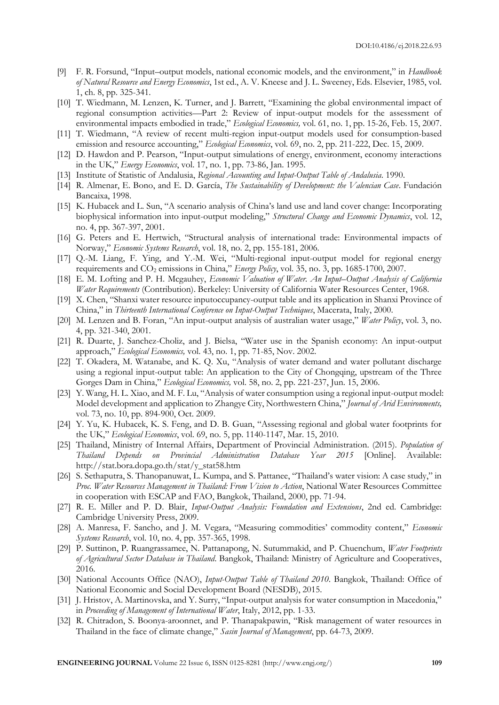- [9] F. R. Forsund, "Input–output models, national economic models, and the environment," in *Handbook of Natural Resource and Energy Economics*, 1st ed., A. V. Kneese and J. L. Sweeney, Eds. Elsevier, 1985, vol. 1, ch. 8, pp. 325-341.
- [10] T. Wiedmann, M. Lenzen, K. Turner, and J. Barrett, "Examining the global environmental impact of regional consumption activities—Part 2: Review of input-output models for the assessment of environmental impacts embodied in trade," *Ecological Economics,* vol. 61, no. 1, pp. 15-26, Feb. 15, 2007.
- [11] T. Wiedmann, "A review of recent multi-region input-output models used for consumption-based emission and resource accounting," *Ecological Economics*, vol. 69, no. 2, pp. 211-222, Dec. 15, 2009.
- [12] D. Hawdon and P. Pearson, "Input-output simulations of energy, environment, economy interactions in the UK," *Energy Economics*, vol. 17, no. 1, pp. 73-86, Jan. 1995.
- [13] Institute of Statistic of Andalusia, *Regional Accounting and Input-Output Table of Andalusia*. 1990.
- [14] R. Almenar, E. Bono, and E. D. García, *The Sustainability of Development: the Valencian Case*. Fundación Bancaixa, 1998.
- [15] K. Hubacek and L. Sun, "A scenario analysis of China's land use and land cover change: Incorporating biophysical information into input-output modeling," *Structural Change and Economic Dynamics*, vol. 12, no. 4, pp. 367-397, 2001.
- [16] G. Peters and E. Hertwich, "Structural analysis of international trade: Environmental impacts of Norway," *Economic Systems Research*, vol. 18, no. 2, pp. 155-181, 2006.
- [17] Q.-M. Liang, F. Ying, and Y.-M. Wei, "Multi-regional input-output model for regional energy requirements and CO<sub>2</sub> emissions in China," *Energy Policy*, vol. 35, no. 3, pp. 1685-1700, 2007.
- [18] E. M. Lofting and P. H. Mcgauhey, *Economic Valuation of Water. An Input–Output Analysis of California Water Requirements* (Contribution). Berkeley: University of California Water Resources Center, 1968.
- [19] X. Chen, "Shanxi water resource inputoccupancy-output table and its application in Shanxi Province of China," in *Thirteenth International Conference on Input-Output Techniques*, Macerata, Italy, 2000.
- [20] M. Lenzen and B. Foran, "An input-output analysis of australian water usage," *Water Policy*, vol. 3, no. 4, pp. 321-340, 2001.
- [21] R. Duarte, J. Sanchez-Choliz, and J. Bielsa, "Water use in the Spanish economy: An input-output approach," *Ecological Economics,* vol. 43, no. 1, pp. 71-85, Nov. 2002.
- [22] T. Okadera, M. Watanabe, and K. Q. Xu, "Analysis of water demand and water pollutant discharge using a regional input-output table: An application to the City of Chongqing, upstream of the Three Gorges Dam in China," *Ecological Economics,* vol. 58, no. 2, pp. 221-237, Jun. 15, 2006.
- [23] Y. Wang, H. L. Xiao, and M. F. Lu, "Analysis of water consumption using a regional input-output model: Model development and application to Zhangye City, Northwestern China," *Journal of Arid Environments,*  vol. 73, no. 10, pp. 894-900, Oct. 2009.
- [24] Y. Yu, K. Hubacek, K. S. Feng, and D. B. Guan, "Assessing regional and global water footprints for the UK," *Ecological Economics*, vol. 69, no. 5, pp. 1140-1147, Mar. 15, 2010.
- [25] Thailand, Ministry of Internal Affairs, Department of Provincial Administration. (2015). *Population of Thailand Depends on Provincial Administration Database Year 2015* [Online]. Available: http://stat.bora.dopa.go.th/stat/y\_stat58.htm
- [26] S. Sethaputra, S. Thanopanuwat, L. Kumpa, and S. Pattanee, "Thailand's water vision: A case study," in *Proc. Water Resources Management in Thailand: From Vision to Action*, National Water Resources Committee in cooperation with ESCAP and FAO, Bangkok, Thailand, 2000, pp. 71-94.
- [27] R. E. Miller and P. D. Blair, *Input-Output Analysis: Foundation and Extensions*, 2nd ed. Cambridge: Cambridge University Press, 2009.
- [28] A. Manresa, F. Sancho, and J. M. Vegara, "Measuring commodities' commodity content," *Economic Systems Research*, vol. 10, no. 4, pp. 357-365, 1998.
- [29] P. Suttinon, P. Ruangrassamee, N. Pattanapong, N. Sutummakid, and P. Chuenchum, *Water Footprints of Agricultural Sector Database in Thailand*. Bangkok, Thailand: Ministry of Agriculture and Cooperatives, 2016.
- [30] National Accounts Office (NAO), *Input-Output Table of Thailand 2010*. Bangkok, Thailand: Office of National Economic and Social Development Board (NESDB), 2015.
- [31] J. Hristov, A. Martinovska, and Y. Surry, "Input-output analysis for water consumption in Macedonia," in *Proceeding of Management of International Water*, Italy, 2012, pp. 1-33.
- [32] R. Chitradon, S. Boonya-aroonnet, and P. Thanapakpawin, "Risk management of water resources in Thailand in the face of climate change," *Sasin Journal of Management*, pp. 64-73, 2009.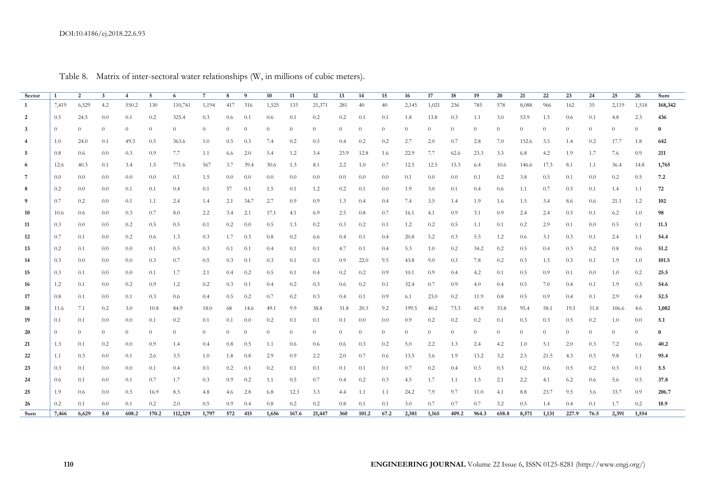## DOI:10.4186/ej.2018.22.6.93

| Sector         | $\overline{1}$ | 2              | $\mathbf{3}$ | $\overline{4}$ | 5        | 6        | $7\phantom{.0}$ | 8              | - 9      | 10             | 11       | 12             | 13               | 14       | 15             | 16             | 17             | 18       | 19             | 20               | 21             | 22             | 23       | 24               | 25             | 26       | Sum      |
|----------------|----------------|----------------|--------------|----------------|----------|----------|-----------------|----------------|----------|----------------|----------|----------------|------------------|----------|----------------|----------------|----------------|----------|----------------|------------------|----------------|----------------|----------|------------------|----------------|----------|----------|
| 1              | 7,419          | 6,529          | 4.2          | 550.2          | 130      | 110,741  | 1,194           | 417            | - 316    | 1,525          | 133      | 21,371         | 281              | -40      | 40             | 2,145          | 1,021          | -236     | 785            | 578              | 8,088          | -966           | 162      | 35               | 2,119          | 1,518    | 168,342  |
| 2              | 0.5            | 24.5           | $0.0\,$      | 0.1            | 0.2      | 325.4    | 0.3             | 0.6            | 0.1      | 0.6            | 0.1      | 0.2            | 0.2              | 0.1      | 0.1            | 1.8            | 13.8           | 0.3      | 1.1            | 3.0              | 53.9           | 1.5            | 0.6      | 0.1              | 4.8            | 2.3      | 436      |
| $\overline{3}$ | $\theta$       | $\overline{0}$ | $\theta$     | $\overline{0}$ | $\theta$ | $\theta$ | $\theta$        | $\overline{0}$ | $\theta$ | $\theta$       | $\theta$ | $\overline{0}$ | $\theta$         | $\theta$ | $\theta$       | $\theta$       | $\overline{0}$ | $\theta$ | $\overline{0}$ | $\theta$         | $\overline{0}$ | $\theta$       | $\theta$ | $\theta$         | $\overline{0}$ | $\theta$ | $\bf{0}$ |
| 4              | 1.0            | 24.0           | 0.1          | 49.3           | 0.5      | 363.6    | 1.0             | 0.5            | 0.3      | 7.4            | 0.2      | 0.5            | 0.4              | 0.2      | 0.2            | 2.7            | 2.0            | 0.7      | 2.8            | 7.0              | 152.6          | 3.5            | 1.4      | 0.2              | 17.7           | 1.8      | 642      |
| -5             | 0.8            | 0.6            | 0.0          | 0.3            | 0.9      | 7.7      | 1.1             | 6.6            | 2.0      | 5.4            | 1.2      | 3.4            | 23.9             | 12.8     | 1.6            | 22.9           | 7.7            | 62.6     | 23.3           | 3.3              | 6.8            | 4.2            | 1.9      | 1.7              | 7.6            | 0.9      | 211      |
| 6              | 12.6           | 40.3           | 0.1          | 3.4            | 1.5      | 771.6    | 567             | 3.7            | 39.4     | 30.6           | 1.3      | 8.1            | 2.2              | 1.0      | 0.7            | 12.5           | 12.5           | 15.3     | 6.4            | 10.6             | 146.6          | 17.3           | 8.1      | 1.1              | 36.4           | 14.8     | 1,765    |
| 7              | 0.0            | $0.0\,$        | $0.0\,$      | 0.0            | 0.0      | 0.1      | 1.5             | 0.0            | 0.0      | 0.0            | $0.0\,$  | 0.0            | 0.0              | 0.0      | 0.0            | 0.1            | 0.0            | 0.0      | 0.1            | 0.2              | 3.8            | 0.5            | 0.1      | 0.0              | 0.2            | 0.5      | 7.2      |
| 8              | 0.2            | 0.0            | $0.0\,$      | 0.1            | 0.1      | 0.4      | 0.1             | 57             | 0.1      | 1.5            | 0.1      | 1.2            | 0.2              | 0.1      | $0.0\,$        | 1.9            | 3.0            | 0.1      | 0.4            | 0.6              | 1.1            | 0.7            | 0.5      | 0.1              | 1.4            | 1.1      | 72       |
| 9              | 0.7            | 0.2            | $0.0\,$      | 0.1            | 1.1      | 2.4      | 1.4             | 2.1            | 34.7     | 2.7            | 0.9      | 0.9            | 1.3              | 0.4      | 0.4            | 7.4            | 3.5            | 1.4      | 1.9            | 1.6              | 1.5            | 3.4            | 8.6      | 0.6              | 21.1           | 1.2      | 102      |
| 10             | 10.6           | 0.6            | 0.0          | 0.3            | 0.7      | 8.0      | 2.2             | 3.4            | 2.1      | 17.1           | 4.1      | 6.9            | 2.5              | 0.8      | 0.7            | 16.1           | 4.1            | 0.9      | 3.1            | 0.9 <sub>z</sub> | 2.4            | 2.4            | 0.5      | 0.1              | 6.2            | 1.0      | 98       |
| 11             | 0.3            | 0.0            | 0.0          | 0.2            | 0.5      | 0.5      | 0.1             | 0.2            | 0.0      | 0.5            | 1.3      | 0.2            | 0.3              | 0.2      | 0.1            | 1.2            | 0.2            | 0.5      | 1.1            | 0.1              | 0.2            | 2.9            | 0.1      | 0.0 <sub>1</sub> | 0.5            | 0.1      | 11.3     |
| 12             | 0.7            | 0.1            | $0.0\,$      | 0.2            | 0.6      | 1.3      | 0.3             | 1.7            | 0.3      | 0.8            | 0.2      | 6.6            | $0.4^{\circ}$    | 0.1      | 0.4            | 20.8           | 5.2            | 0.3      | 5.5            | 1.2              | 0.6            | 3.1            | 0.3      | 0.1              | 2.4            | 1.1      | 54.4     |
| 13             | 0.2            | 0.1            | 0.0          | 0.0            | 0.1      | 0.5      | 0.3             | 0.1            | 0.1      | 0.4            | 0.1      | 0.1            | 4.7              | 0.1      | 0.4            | 5.3            | 1.0            | 0.2      | 34.2           | 0.2              | 0.5            | 0.4            | 0.3      | 0.2              | 0.8            | 0.6      | 51.2     |
| 14             | 0.3            | 0.0            | $0.0\,$      | 0.0            | 0.3      | 0.7      | 0.5             | 0.3            | 0.1      | 0.3            | 0.1      | 0.3            | 0.9 <sub>z</sub> | 22.0     | 9.5            | 43.8           | 9.0            | 0.3      | 7.8            | 0.2              | 0.3            | 1.5            | 0.3      | 0.1              | 1.9            | 1.0      | 101.5    |
| 15             | 0.3            | 0.1            | 0.0          | 0.0            | 0.1      | 1.7      | 2.1             | 0.4            | 0.2      | 0.5            | 0.1      | 0.4            | 0.2              | 0.2      | 0.9            | 10.1           | 0.9            | 0.4      | 4.2            | 0.1              | 0.5            | 0.9            | 0.1      | 0.0              | 1.0            | 0.2      | 25.5     |
| 16             | 1.2            | 0.1            | $0.0\,$      | 0.2            | 0.9      | 1.2      | 0.2             | 0.3            | 0.1      | 0.4            | 0.2      | 0.3            | 0.6              | 0.2      | 0.1            | 32.4           | 0.7            | 0.9      | 4.0            | 0.4              | 0.5            | 7.0            | 0.4      | 0.1              | 1.9            | 0.3      | 54.6     |
| 17             | 0.8            | 0.1            | 0.0          | 0.1            | 0.3      | 0.6      | $0.4^{\circ}$   | 0.5            | 0.2      | 0.7            | 0.2      | 0.3            | 0.4              | 0.1      | 0.9            | 6.1            | 23.0           | 0.2      | 11.9           | 0.8              | 0.5            | 0.9            | 0.4      | 0.1              | 2.9            | 0.4      | 52.5     |
| 18             | 11.6           | 7.1            | 0.2          | 3.0            | 10.8     | 84.9     | 18.0            | 68             | 14.6     | 49.1           | 9.9      | 38.8           | 31.8             | 20.3     | 9.2            | 199.5          | 40.2           | 73.3     | 41.9           | 33.8             | 95.4           | 58.1           | 19.1     | 31.8             | 106.6          | 4.6      | 1,082    |
| 19             | 0.1            | 0.1            | 0.0          | 0.0            | 0.1      | 0.2      | 0.1             | 0.1            | 0.0      | 0.2            | 0.1      | 0.1            | 0.1              | 0.0      | $0.0\,$        | 0.9            | 0.2            | 0.2      | 0.2            | 0.1              | 0.3            | 0.3            | 0.5      | 0.2              | 1.0            | 0.0      | 5.1      |
| 20             | $\overline{0}$ | $\overline{0}$ | $\theta$     | $\overline{0}$ | $\theta$ | $\theta$ | $\theta$        | $\theta$       | $\theta$ | $\overline{0}$ | $\theta$ | $\overline{0}$ | $\overline{0}$   | $\theta$ | $\overline{0}$ | $\overline{0}$ | $\theta$       | $\theta$ | $\overline{0}$ | $\theta$         | $\overline{0}$ | $\overline{0}$ | $\theta$ | $\theta$         | $\overline{0}$ | $\theta$ | $\bf{0}$ |
| 21             | 1.3            | 0.1            | 0.2          | 0.0            | 0.9      | 1.4      | $0.4^{\circ}$   | 0.8            | 0.5      | 1.1            | 0.6      | 0.6            | 0.6              | 0.3      | 0.2            | 5.0            | 2.2            | 1.3      | 2.4            | 4.2              | 1.0            | 5.1            | 2.0      | 0.3              | 7.2            | 0.6      | 40.2     |
| 22             | 1.1            | 0.3            | 0.0          | 0.1            | 2.6      | 3.5      | 1.0             | 1.8            | 0.8      | 2.9            | 0.9      | 2.2            | 2.0              | 0.7      | 0.6            | 13.5           | 3.6            | 1.9      | 13.2           | 3.2              | 2.5            | 21.5           | 4.3      | 0.5              | 9.8            | 1.1      | 95.4     |
| 23             | 0.3            | 0.1            | $0.0\,$      | 0.0            | 0.1      | 0.4      | 0.1             | 0.2            | 0.1      | 0.2            | 0.1      | 0.1            | 0.1              | -0.1     | 0.1            | 0.7            | 0.2            | 0.4      | 0.3            | 0.3              | 0.2            | 0.6            | 0.5      | 0.2              | 0.3            | 0.1      | 5.5      |
| 24             | 0.6            | 0.1            | $0.0\,$      | 0.1            | 0.7      | 1.7      | 0.3             | 0.9            | 0.2      | 1.1            | 0.5      | 0.7            | 0.4              | 0.2      | 0.3            | 4.5            | 1.7            | 1.1      | 1.5            | 2.1              | 2.2            | 4.1            | 6.2      | 0.6              | 5.6            | 0.5      | 37.8     |
| 25             | 1.9            | $0.6^{\circ}$  | 0.0          | 0.5            | 16.9     | 8.3      | 4.8             | 4.6            | 2.8      | 6.8            | 12.3     | 3.3            | 4.4              | 1.1      | 1.1            | 24.2           | 7.9            | 9.7      | 11.0           | 4.1              | 8.8            | 23.7           | 9.5      | 3.6              | 33.7           | 0.9      | 206.7    |
| 26             | 0.2            | 0.1            | 0.0          | 0.1            | 0.2      | 2.0      | 0.5             | 0.9            | 0.4      | 0.8            | 0.2      | 0.2            | 0.8              | 0.1      | 0.1            | 3.0            | 0.7            | 0.7      | 0.7            | 3.2              | 0.5            | 1.4            | 0.4      | 0.1              | 1.7            | 0.2      | 18.9     |
| Sum            | 7,466          | 6,629          | 5.0          | 608.2          | 170.2    | 112,329  | 1,797           | 572            | 415      | 1,656          | 167.6    | 21,447         | 360              | 101.2    | 67.2           | 2,581          | 1,165          | 409.2    | 964.3          | 658.8            | 8,571          | 1,131          | 227.9    | 76.5             | 2,391          | 1,554    |          |

Table 8. Matrix of inter-sectoral water relationships (W, in millions of cubic meters).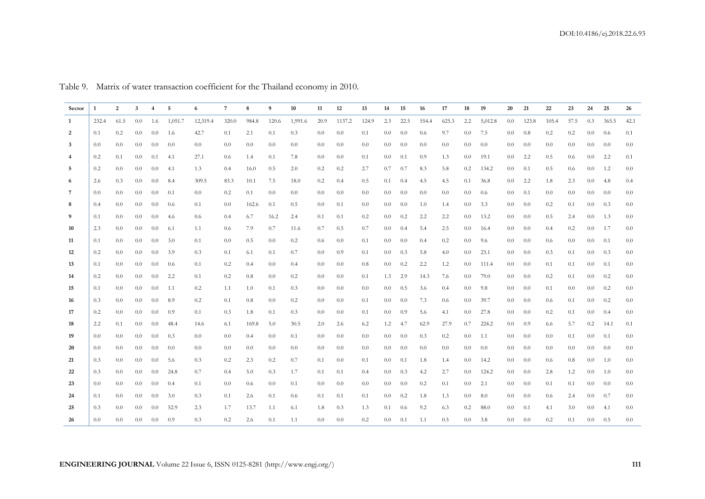| Sector          | $\mathbf{1}$ | $\overline{2}$ | 3                |     | 5       | 6        | 7     | 8                | 9     | 10      | 11   | 12      | 13    | 14               | 15   | 16    | 17    | 18               | 19        | 20               | 21    | 22    | 23   | 24               | 25              | 26      |
|-----------------|--------------|----------------|------------------|-----|---------|----------|-------|------------------|-------|---------|------|---------|-------|------------------|------|-------|-------|------------------|-----------|------------------|-------|-------|------|------------------|-----------------|---------|
| $\mathbf{1}$    | 232.4        | 61.5           | 0.0 <sub>1</sub> | 1.6 | 1,051.7 | 12,319.4 | 320.0 | 984.8            | 120.6 | 1,991.6 | 20.9 | 1137.2  | 124.9 | 2.3              | 22.5 | 554.4 | 625.3 | 2.2              | 5,012.8   | $0.0\,$          | 123.8 | 105.4 | 57.5 | 0.3              | 365.5           | 42.1    |
| $\overline{2}$  | 0.1          | 0.2            | 0.0              | 0.0 | 1.6     | 42.7     | 0.1   | 2.1              | 0.1   | 0.3     | 0.0  | 0.0     | 0.1   | 0.0              | -0.0 | 0.6   | 9.7   | 0.0 <sub>1</sub> | 7.5       | 0.0              | 0.8   | 0.2   | 0.2  | 0.0 <sub>1</sub> | 0.6             | 0.1     |
| $\overline{3}$  | 0.0          | 0.0            | 0.0 <sub>1</sub> | 0.0 | 0.0     | 0.0      | 0.0   | 0.0              | 0.0   | 0.0     | 0.0  | 0.0     | 0.0   | 0.0              | -0.0 | 0.0   | 0.0   | 0.0 <sub>1</sub> | 0.0       | 0.0              | 0.0   | 0.0   | 0.0  | 0.0 <sub>1</sub> | 0.0             | 0.0     |
| $\overline{4}$  | 0.2          | 0.1            | 0.0              | 0.1 | 4.1     | 27.1     | 0.6   | 1.4              | 0.1   | 7.8     | 0.0  | $0.0\,$ | 0.1   | 0.0              | 0.1  | -0.9  | 1.3   | 0.0 <sub>1</sub> | 19.1      | 0.0 <sub>1</sub> | 2.2   | 0.5   | 0.6  | 0.0 <sub>1</sub> | 2.2             | 0.1     |
| 5               | 0.2          | 0.0            | 0.0              | 0.0 | 4.1     | 1.3      | 0.4   | 16.0             | 0.5   | 2.0     | 0.2  | 0.2     | 2.7   | 0.7              | 0.7  | 8.3   | 5.8   | 0.2              | 134.2     | 0.0              | 0.1   | 0.5   | 0.6  | 0.0 <sub>1</sub> | 1.2             | 0.0     |
| 6               | 2.6          | 0.3            | 0.0 <sub>1</sub> | 0.0 | 8.4     | 309.5    | 83.3  | 10.1             | 7.5   | 18.0    | 0.2  | 0.4     | 0.5   | 0.1              | -0.4 | 4.5   | 4.5   | 0.1              | 36.8      | $0.0\,$          | 2.2   | 1.8   | 2.3  | 0.0              | 4.8             | 0.4     |
| $7\phantom{.0}$ | 0.0          | 0.0            | 0.0              | 0.0 | 0.1     | 0.0      | 0.2   | 0.1              | 0.0   | 0.0     | 0.0  | 0.0     | 0.0   | 0.0              | -0.0 | 0.0   | 0.0   | 0.0 <sub>1</sub> | 0.6       | 0.0 <sub>1</sub> | 0.1   | 0.0   | 0.0  | 0.0 <sub>1</sub> | 0.0             | 0.0     |
| 8               | 0.4          | 0.0            | 0.0 <sub>1</sub> | 0.0 | 0.6     | 0.1      | 0.0   | 162.6            | 0.1   | 0.5     | 0.0  | 0.1     | 0.0   | 0.0              | -0.0 | 1.0   | 1.4   | 0.0 <sub>1</sub> | 3.3       | 0.0              | 0.0   | 0.2   | 0.1  | 0.0              | 0.3             | 0.0     |
| 9               | 0.1          | 0.0            | 0.0              | 0.0 | 4.6     | 0.6      | 0.4   | 6.7              | 16.2  | 2.4     | 0.1  | 0.1     | 0.2   | 0.0 <sub>1</sub> | 0.2  | 2.2   | 2.2   | 0.0 <sub>1</sub> | 13.2      | 0.0 <sub>1</sub> | 0.0   | 0.5   | 2.4  | 0.0              | 1.3             | 0.0     |
| 10              | 2.3          | 0.0            | 0.0              | 0.0 | 6.1     | 1.1      | 0.6   | 7.9              | 0.7   | 11.6    | 0.7  | 0.5     | 0.7   | 0.0              | 0.4  | 5.4   | 2.5   | 0.0 <sub>1</sub> | 16.4      | 0.0              | 0.0   | 0.4   | 0.2  | 0.0              | 1.7             | 0.0     |
| 11              | 0.1          | 0.0            | 0.0              | 0.0 | 3.0     | 0.1      | 0.0   | 0.5              | 0.0   | 0.2     | 0.6  | 0.0     | 0.1   | 0.0              | -0.0 | 0.4   | 0.2   | 0.0 <sub>1</sub> | 9.6       | 0.0              | 0.0   | 0.6   | 0.0  | 0.0 <sub>1</sub> | 0.1             | 0.0     |
| 12              | 0.2          | 0.0            | 0.0              | 0.0 | 3.9     | 0.3      | 0.1   | 6.1              | 0.1   | 0.7     | 0.0  | 0.9     | 0.1   | 0.0 <sub>1</sub> | 0.3  | 5.8   | 4.0   | 0.0 <sub>1</sub> | 23.1      | $0.0\,$          | 0.0   | 0.3   | 0.1  |                  | $0.0\qquad 0.3$ | 0.0     |
| 13              | 0.1          | 0.0            | 0.0              | 0.0 | 0.6     | 0.1      | 0.2   | 0.4              | 0.0   | 0.4     | 0.0  | 0.0     | 0.8   | 0.0              | 0.2  | 2.2   | 1.2   | 0.0 <sub>1</sub> | 111.4     | 0.0              | 0.0   | 0.1   | 0.1  | 0.0 <sub>1</sub> | 0.1             | 0.0     |
| 14              | 0.2          | 0.0            | 0.0              | 0.0 | 2.2     | 0.1      | 0.2   | 0.8              | 0.0   | 0.2     | 0.0  | $0.0\,$ | 0.1   | 1.3              | 2.9  | 14.3  | 7.6   | 0.0 <sub>1</sub> | 79.0      | 0.0              | 0.0   | 0.2   | 0.1  | 0.0 <sub>1</sub> | 0.2             | 0.0     |
| 15              | 0.1          | 0.0            | 0.0 <sub>1</sub> | 0.0 | 1.1     | 0.2      | 1.1   | 1.0              | 0.1   | 0.3     | 0.0  | 0.0     | 0.0   | 0.0 <sub>1</sub> | 0.5  | 3.6   | 0.4   | 0.0 <sub>1</sub> | 9.8       | 0.0              | 0.0   | 0.1   | 0.0  | 0.0 <sub>1</sub> | 0.2             | 0.0     |
| 16              | 0.3          | 0.0            | 0.0              | 0.0 | 8.9     | 0.2      | 0.1   | 0.8              | 0.0   | 0.2     | 0.0  | 0.0     | 0.1   | $0.0\,$          | -0.0 | 7.3   | 0.6   | 0.0 <sub>1</sub> | 39.7      | 0.0              | 0.0   | 0.6   | 0.1  | 0.0 <sub>1</sub> | 0.2             | 0.0     |
| 17              | 0.2          | 0.0            | 0.0 <sub>1</sub> | 0.0 | 0.9     | 0.1      | 0.3   | 1.8              | 0.1   | 0.3     | 0.0  | $0.0\,$ | 0.1   | 0.0              | -0.9 | 5.6   | 4.1   | 0.0 <sub>1</sub> | 27.8      | $0.0\,$          | 0.0   | 0.2   | 0.1  | 0.0 <sub>1</sub> | 0.4             | 0.0     |
| 18              | 2.2          | 0.1            | 0.0              | 0.0 | 48.4    | 14.6     | 6.1   | 169.8            | 5.0   | 30.5    | 2.0  | 2.6     | 6.2   | $1.2\,$          | 4.7  | 62.9  | 27.9  | 0.7              | 224.2     | 0.0              | 0.9   | 6.6   | 5.7  | 0.2              | 14.1            | 0.1     |
| 19              | 0.0          | 0.0            | 0.0              | 0.0 | 0.3     | 0.0      | 0.0   | 0.4              | 0.0   | 0.1     | 0.0  | 0.0     | 0.0   | 0.0              | -0.0 | 0.3   | 0.2   | 0.0 <sub>1</sub> | 1.1       | 0.0              | 0.0   | 0.0   | 0.1  | 0.0 <sub>1</sub> | 0.1             | 0.0     |
| 20              | 0.0          | 0.0            | 0.0 <sub>1</sub> | 0.0 | 0.0     | 0.0      | 0.0   | 0.0 <sub>1</sub> | 0.0   | $0.0\,$ | 0.0  | $0.0\,$ | 0.0   | 0.0 <sub>1</sub> | 0.0  | 0.0   | 0.0   | 0.0 <sub>1</sub> | 0.0       | 0.0 <sub>1</sub> | 0.0   | 0.0   | 0.0  | 0.0              | 0.0             | 0.0     |
| 21              | 0.3          | 0.0            | 0.0              | 0.0 | 5.6     | 0.3      | 0.2   | 2.3              | 0.2   | 0.7     | 0.1  | 0.0     | 0.1   | $0.0\,$          | 0.1  | 1.8   | 1.4   | 0.0 <sub>1</sub> | 14.2      | $0.0\,$          | 0.0   | 0.6   | 0.8  | 0.0              | 1.0             | 0.0     |
| 22              | 0.3          | 0.0            | 0.0              | 0.0 | 24.8    | 0.7      | 0.4   | 5.0              | 0.3   | 1.7     | 0.1  | 0.1     | 0.4   | $0.0\,$          | 0.3  | 4.2   | 2.7   | 0.0 <sub>1</sub> | 124.2     | 0.0              | 0.0   | 2.8   | 1.2  | $0.0\,$          | 1.0             | 0.0     |
| 23              | 0.0          | 0.0            | $0.0\,$          | 0.0 | 0.4     | 0.1      | 0.0   | 0.6              | 0.0   | 0.1     | 0.0  | $0.0\,$ | 0.0   | 0.0 <sub>1</sub> | 0.0  | 0.2   | 0.1   | 0.0 <sub>1</sub> | 2.1       | 0.0 <sub>1</sub> | 0.0   | 0.1   | 0.1  | 0.0 <sub>1</sub> | 0.0             | 0.0     |
| 24              | 0.1          | 0.0            | 0.0              | 0.0 | 3.0     | 0.3      | 0.1   | 2.6              | 0.1   | 0.6     | 0.1  | 0.1     | 0.1   | $0.0\,$          | 0.2  | 1.8   | 1.3   | 0.0 <sub>1</sub> | 8.0       | 0.0              | 0.0   | 0.6   | 2.4  | 0.0              | 0.7             | 0.0     |
| 25              | 0.3          | 0.0            | 0.0              | 0.0 | 52.9    | 2.3      | 1.7   | 13.7             | 1.1   | 6.1     | 1.8  | 0.3     | 1.3   | 0.1              | 0.6  | 9.2   | 6.3   | 0.2              | 88.0      | 0.0              | 0.1   | 4.1   | 3.0  | 0.0              | 4.1             | $0.0\,$ |
| 26              | 0.0          | 0.0            | 0.0              | 0.0 | 0.9     | 0.3      | 0.2   | 2.6              | 0.1   | 1.1     | 0.0  | 0.0     | 0.2   | 0.0 <sub>1</sub> | 0.1  | 1.1   | 0.5   |                  | $0.0$ 3.8 | 0.0              | 0.0   | 0.2   | 0.1  | 0.0 <sub>1</sub> | 0.5             | $0.0\,$ |

Table 9. Matrix of water transaction coefficient for the Thailand economy in 2010.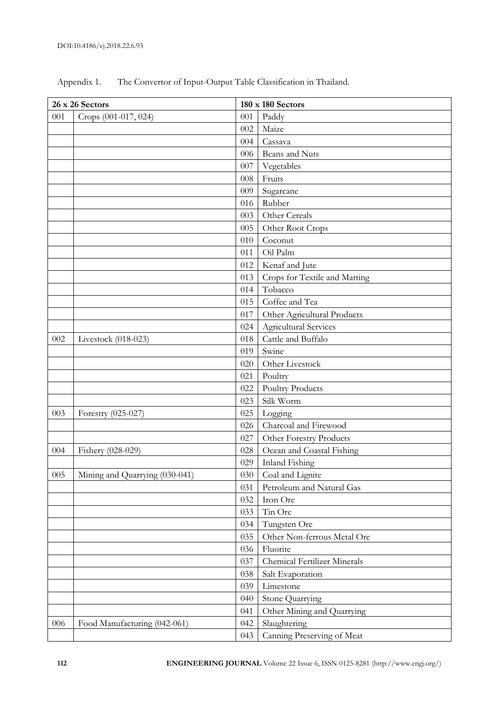|     | 26 x 26 Sectors                |     | 180 x 180 Sectors                   |
|-----|--------------------------------|-----|-------------------------------------|
| 001 | Crops (001-017, 024)           | 001 | Paddy                               |
|     |                                | 002 | Maize                               |
|     |                                | 004 | Cassava                             |
|     |                                | 006 | Beans and Nuts                      |
|     |                                | 007 | Vegetables                          |
|     |                                | 008 | Fruits                              |
|     |                                | 009 | Sugarcane                           |
|     |                                | 016 | Rubber                              |
|     |                                | 003 | Other Cereals                       |
|     |                                | 005 | Other Root Crops                    |
|     |                                | 010 | Coconut                             |
|     |                                | 011 | Oil Palm                            |
|     |                                | 012 | Kenaf and Jute                      |
|     |                                | 013 | Crops for Textile and Matting       |
|     |                                | 014 | Tobacco                             |
|     |                                | 015 | Coffee and Tea                      |
|     |                                | 017 | Other Agricultural Products         |
|     |                                | 024 | <b>Agricultural Services</b>        |
| 002 | Livestock (018-023)            | 018 | Cattle and Buffalo                  |
|     |                                | 019 | Swine                               |
|     |                                | 020 | Other Livestock                     |
|     |                                | 021 | Poultry                             |
|     |                                | 022 | <b>Poultry Products</b>             |
|     |                                | 023 | Silk Worm                           |
| 003 | Forestry (025-027)             | 025 | Logging                             |
|     |                                | 026 | Charcoal and Firewood               |
|     |                                | 027 | Other Forestry Products             |
| 004 | Fishery (028-029)              | 028 | Ocean and Coastal Fishing           |
|     |                                | 029 | Inland Fishing                      |
| 005 | Mining and Quarrying (030-041) | 030 | Coal and Lignite                    |
|     |                                | 031 | Petroleum and Natural Gas           |
|     |                                | 032 | Iron Ore                            |
|     |                                | 033 | Tin Ore                             |
|     |                                | 034 | Tungsten Ore                        |
|     |                                | 035 | Other Non-ferrous Metal Ore         |
|     |                                | 036 | Fluorite                            |
|     |                                | 037 | <b>Chemical Fertilizer Minerals</b> |
|     |                                | 038 | Salt Evaporation                    |
|     |                                | 039 | Limestone                           |
|     |                                | 040 | Stone Quarrying                     |
|     |                                | 041 | Other Mining and Quarrying          |
| 006 | Food Manufacturing (042-061)   | 042 | Slaughtering                        |
|     |                                | 043 | Canning Preserving of Meat          |

Appendix 1. The Convertor of Input-Output Table Classification in Thailand.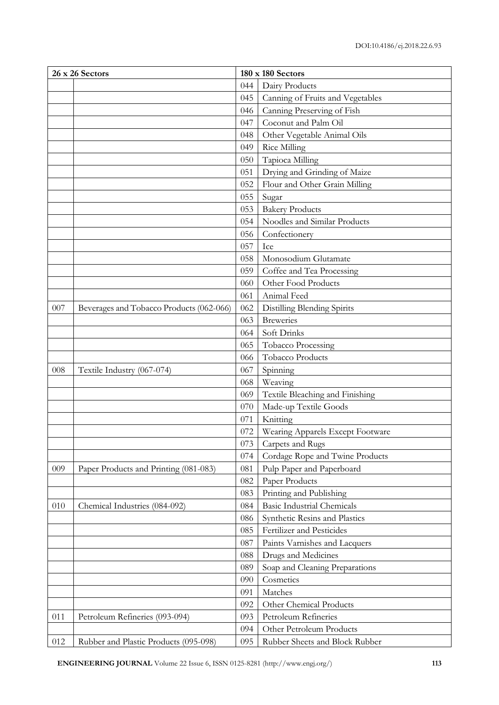|     | 26 x 26 Sectors                          |     | 180 x 180 Sectors                 |
|-----|------------------------------------------|-----|-----------------------------------|
|     |                                          | 044 | Dairy Products                    |
|     |                                          | 045 | Canning of Fruits and Vegetables  |
|     |                                          | 046 | Canning Preserving of Fish        |
|     |                                          | 047 | Coconut and Palm Oil              |
|     |                                          | 048 | Other Vegetable Animal Oils       |
|     |                                          | 049 | <b>Rice Milling</b>               |
|     |                                          | 050 | Tapioca Milling                   |
|     |                                          | 051 | Drying and Grinding of Maize      |
|     |                                          | 052 | Flour and Other Grain Milling     |
|     |                                          | 055 | Sugar                             |
|     |                                          | 053 | <b>Bakery Products</b>            |
|     |                                          | 054 | Noodles and Similar Products      |
|     |                                          | 056 | Confectionery                     |
|     |                                          | 057 | Ice                               |
|     |                                          | 058 | Monosodium Glutamate              |
|     |                                          | 059 | Coffee and Tea Processing         |
|     |                                          | 060 | Other Food Products               |
|     |                                          | 061 | Animal Feed                       |
| 007 | Beverages and Tobacco Products (062-066) | 062 | Distilling Blending Spirits       |
|     |                                          | 063 | <b>Breweries</b>                  |
|     |                                          | 064 | Soft Drinks                       |
|     |                                          | 065 | Tobacco Processing                |
|     |                                          | 066 | Tobacco Products                  |
| 008 | Textile Industry (067-074)               | 067 | Spinning                          |
|     |                                          | 068 | Weaving                           |
|     |                                          | 069 | Textile Bleaching and Finishing   |
|     |                                          | 070 | Made-up Textile Goods             |
|     |                                          | 071 | Knitting                          |
|     |                                          | 072 | Wearing Apparels Except Footware  |
|     |                                          | 073 | Carpets and Rugs                  |
|     |                                          | 074 | Cordage Rope and Twine Products   |
| 009 | Paper Products and Printing (081-083)    | 081 | Pulp Paper and Paperboard         |
|     |                                          | 082 | Paper Products                    |
|     |                                          | 083 | Printing and Publishing           |
| 010 | Chemical Industries (084-092)            | 084 | <b>Basic Industrial Chemicals</b> |
|     |                                          | 086 | Synthetic Resins and Plastics     |
|     |                                          | 085 | Fertilizer and Pesticides         |
|     |                                          | 087 | Paints Varnishes and Lacquers     |
|     |                                          | 088 | Drugs and Medicines               |
|     |                                          | 089 | Soap and Cleaning Preparations    |
|     |                                          | 090 | Cosmetics                         |
|     |                                          | 091 | Matches                           |
|     |                                          | 092 | Other Chemical Products           |
| 011 | Petroleum Refineries (093-094)           | 093 | Petroleum Refineries              |
|     |                                          | 094 | Other Petroleum Products          |
| 012 | Rubber and Plastic Products (095-098)    | 095 | Rubber Sheets and Block Rubber    |

**ENGINEERING JOURNAL** Volume 22 Issue 6, ISSN 0125-8281 (http://www.engj.org/) **113**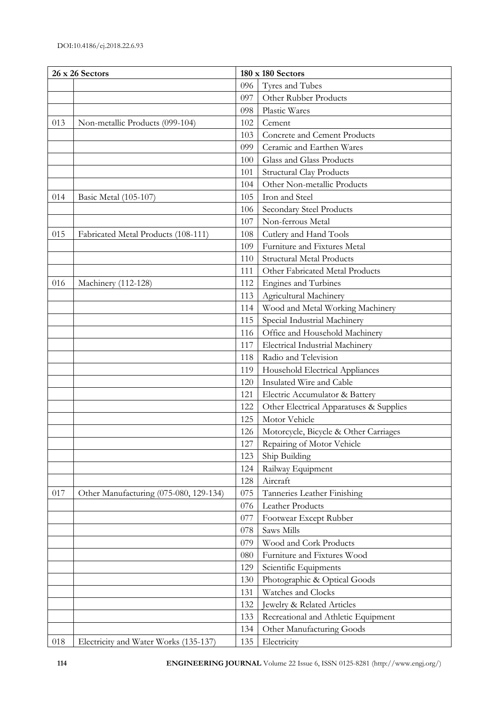|     | 26 x 26 Sectors                        |     | 180 x 180 Sectors                       |
|-----|----------------------------------------|-----|-----------------------------------------|
|     |                                        | 096 | Tyres and Tubes                         |
|     |                                        | 097 | Other Rubber Products                   |
|     |                                        | 098 | Plastic Wares                           |
| 013 | Non-metallic Products (099-104)        | 102 | Cement                                  |
|     |                                        | 103 | Concrete and Cement Products            |
|     |                                        | 099 | Ceramic and Earthen Wares               |
|     |                                        | 100 | Glass and Glass Products                |
|     |                                        | 101 | <b>Structural Clay Products</b>         |
|     |                                        | 104 | Other Non-metallic Products             |
| 014 | Basic Metal (105-107)                  | 105 | Iron and Steel                          |
|     |                                        | 106 | Secondary Steel Products                |
|     |                                        | 107 | Non-ferrous Metal                       |
| 015 | Fabricated Metal Products (108-111)    | 108 | Cutlery and Hand Tools                  |
|     |                                        | 109 | Furniture and Fixtures Metal            |
|     |                                        | 110 | <b>Structural Metal Products</b>        |
|     |                                        | 111 | Other Fabricated Metal Products         |
| 016 | Machinery (112-128)                    | 112 | Engines and Turbines                    |
|     |                                        | 113 | Agricultural Machinery                  |
|     |                                        | 114 | Wood and Metal Working Machinery        |
|     |                                        | 115 | Special Industrial Machinery            |
|     |                                        | 116 | Office and Household Machinery          |
|     |                                        | 117 | <b>Electrical Industrial Machinery</b>  |
|     |                                        | 118 | Radio and Television                    |
|     |                                        | 119 | Household Electrical Appliances         |
|     |                                        | 120 | Insulated Wire and Cable                |
|     |                                        | 121 | Electric Accumulator & Battery          |
|     |                                        | 122 | Other Electrical Apparatuses & Supplies |
|     |                                        | 125 | Motor Vehicle                           |
|     |                                        | 126 | Motorcycle, Bicycle & Other Carriages   |
|     |                                        | 127 | Repairing of Motor Vehicle              |
|     |                                        | 123 | Ship Building                           |
|     |                                        | 124 | Railway Equipment                       |
|     |                                        | 128 | Aircraft                                |
| 017 | Other Manufacturing (075-080, 129-134) | 075 | Tanneries Leather Finishing             |
|     |                                        | 076 | Leather Products                        |
|     |                                        | 077 | Footwear Except Rubber                  |
|     |                                        | 078 | Saws Mills                              |
|     |                                        | 079 | Wood and Cork Products                  |
|     |                                        | 080 | Furniture and Fixtures Wood             |
|     |                                        | 129 | Scientific Equipments                   |
|     |                                        | 130 | Photographic & Optical Goods            |
|     |                                        | 131 | Watches and Clocks                      |
|     |                                        | 132 | Jewelry & Related Articles              |
|     |                                        | 133 | Recreational and Athletic Equipment     |
|     |                                        | 134 | Other Manufacturing Goods               |
| 018 | Electricity and Water Works (135-137)  | 135 | Electricity                             |